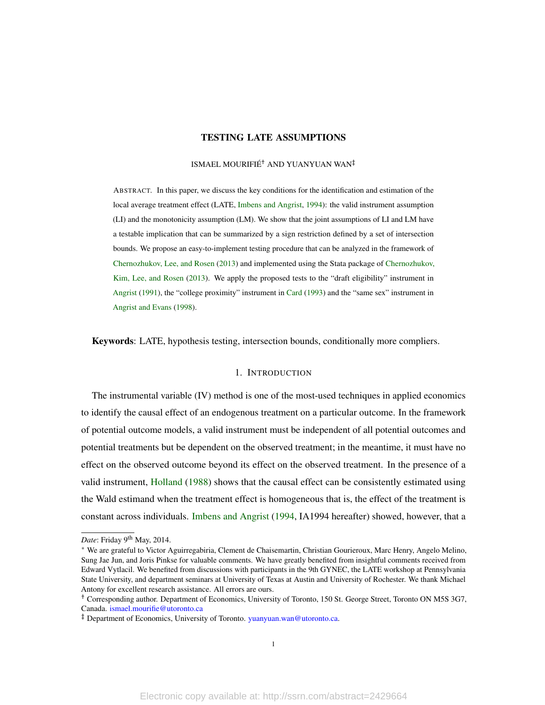### TESTING LATE ASSUMPTIONS

### ISMAEL MOURIFIÉ† AND YUANYUAN WAN‡

ABSTRACT. In this paper, we discuss the key conditions for the identification and estimation of the local average treatment effect (LATE, [Imbens and Angrist,](#page-23-0) [1994\)](#page-23-0): the valid instrument assumption (LI) and the monotonicity assumption (LM). We show that the joint assumptions of LI and LM have a testable implication that can be summarized by a sign restriction defined by a set of intersection bounds. We propose an easy-to-implement testing procedure that can be analyzed in the framework of [Chernozhukov, Lee, and Rosen](#page-22-0) [\(2013\)](#page-22-0) and implemented using the Stata package of [Chernozhukov,](#page-22-1) [Kim, Lee, and Rosen](#page-22-1) [\(2013\)](#page-22-1). We apply the proposed tests to the "draft eligibility" instrument in [Angrist](#page-21-0) [\(1991\)](#page-21-0), the "college proximity" instrument in [Card](#page-22-2) [\(1993\)](#page-22-2) and the "same sex" instrument in [Angrist and Evans](#page-21-1) [\(1998\)](#page-21-1).

Keywords: LATE, hypothesis testing, intersection bounds, conditionally more compliers.

### 1. INTRODUCTION

The instrumental variable (IV) method is one of the most-used techniques in applied economics to identify the causal effect of an endogenous treatment on a particular outcome. In the framework of potential outcome models, a valid instrument must be independent of all potential outcomes and potential treatments but be dependent on the observed treatment; in the meantime, it must have no effect on the observed outcome beyond its effect on the observed treatment. In the presence of a valid instrument, [Holland](#page-22-3) [\(1988\)](#page-22-3) shows that the causal effect can be consistently estimated using the Wald estimand when the treatment effect is homogeneous that is, the effect of the treatment is constant across individuals. [Imbens and Angrist](#page-23-0) [\(1994,](#page-23-0) IA1994 hereafter) showed, however, that a

Date: Friday 9<sup>th</sup> May, 2014.

<sup>∗</sup> We are grateful to Victor Aguirregabiria, Clement de Chaisemartin, Christian Gourieroux, Marc Henry, Angelo Melino, Sung Jae Jun, and Joris Pinkse for valuable comments. We have greatly benefited from insightful comments received from Edward Vytlacil. We benefited from discussions with participants in the 9th GYNEC, the LATE workshop at Pennsylvania State University, and department seminars at University of Texas at Austin and University of Rochester. We thank Michael Antony for excellent research assistance. All errors are ours.

<sup>†</sup> Corresponding author. Department of Economics, University of Toronto, 150 St. George Street, Toronto ON M5S 3G7, Canada. [ismael.mourifie@utoronto.ca](mailto:ismael.mourifie@utoronto.ca)

<sup>&</sup>lt;sup>‡</sup> Department of Economics, University of Toronto. [yuanyuan.wan@utoronto.ca.](mailto:yuanyuan.wan@utoronto.ca)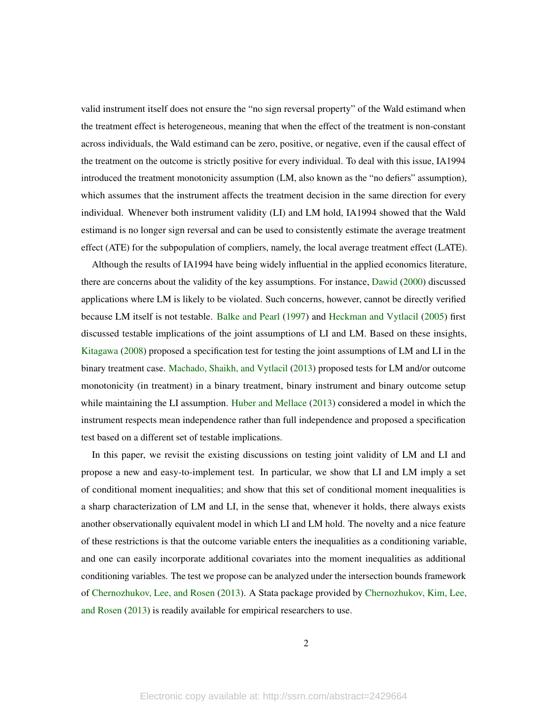valid instrument itself does not ensure the "no sign reversal property" of the Wald estimand when the treatment effect is heterogeneous, meaning that when the effect of the treatment is non-constant across individuals, the Wald estimand can be zero, positive, or negative, even if the causal effect of the treatment on the outcome is strictly positive for every individual. To deal with this issue, IA1994 introduced the treatment monotonicity assumption (LM, also known as the "no defiers" assumption), which assumes that the instrument affects the treatment decision in the same direction for every individual. Whenever both instrument validity (LI) and LM hold, IA1994 showed that the Wald estimand is no longer sign reversal and can be used to consistently estimate the average treatment effect (ATE) for the subpopulation of compliers, namely, the local average treatment effect (LATE).

Although the results of IA1994 have being widely influential in the applied economics literature, there are concerns about the validity of the key assumptions. For instance, [Dawid](#page-22-4) [\(2000\)](#page-22-4) discussed applications where LM is likely to be violated. Such concerns, however, cannot be directly verified because LM itself is not testable. [Balke and Pearl](#page-21-2) [\(1997\)](#page-21-2) and [Heckman and Vytlacil](#page-22-5) [\(2005\)](#page-22-5) first discussed testable implications of the joint assumptions of LI and LM. Based on these insights, [Kitagawa](#page-23-1) [\(2008\)](#page-23-1) proposed a specification test for testing the joint assumptions of LM and LI in the binary treatment case. [Machado, Shaikh, and Vytlacil](#page-23-2) [\(2013\)](#page-23-2) proposed tests for LM and/or outcome monotonicity (in treatment) in a binary treatment, binary instrument and binary outcome setup while maintaining the LI assumption. [Huber and Mellace](#page-23-3) [\(2013\)](#page-23-3) considered a model in which the instrument respects mean independence rather than full independence and proposed a specification test based on a different set of testable implications.

In this paper, we revisit the existing discussions on testing joint validity of LM and LI and propose a new and easy-to-implement test. In particular, we show that LI and LM imply a set of conditional moment inequalities; and show that this set of conditional moment inequalities is a sharp characterization of LM and LI, in the sense that, whenever it holds, there always exists another observationally equivalent model in which LI and LM hold. The novelty and a nice feature of these restrictions is that the outcome variable enters the inequalities as a conditioning variable, and one can easily incorporate additional covariates into the moment inequalities as additional conditioning variables. The test we propose can be analyzed under the intersection bounds framework of [Chernozhukov, Lee, and Rosen](#page-22-0) [\(2013\)](#page-22-0). A Stata package provided by [Chernozhukov, Kim, Lee,](#page-22-1) [and Rosen](#page-22-1) [\(2013\)](#page-22-1) is readily available for empirical researchers to use.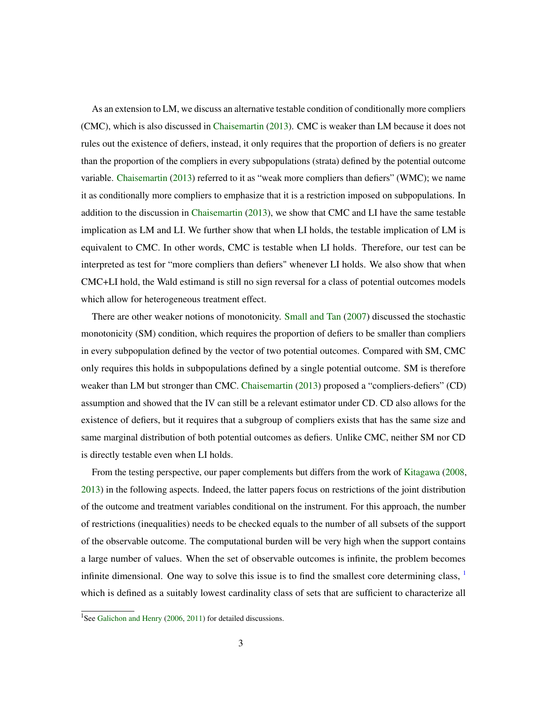As an extension to LM, we discuss an alternative testable condition of conditionally more compliers (CMC), which is also discussed in [Chaisemartin](#page-22-6) [\(2013\)](#page-22-6). CMC is weaker than LM because it does not rules out the existence of defiers, instead, it only requires that the proportion of defiers is no greater than the proportion of the compliers in every subpopulations (strata) defined by the potential outcome variable. [Chaisemartin](#page-22-6) [\(2013\)](#page-22-6) referred to it as "weak more compliers than defiers" (WMC); we name it as conditionally more compliers to emphasize that it is a restriction imposed on subpopulations. In addition to the discussion in [Chaisemartin](#page-22-6) [\(2013\)](#page-22-6), we show that CMC and LI have the same testable implication as LM and LI. We further show that when LI holds, the testable implication of LM is equivalent to CMC. In other words, CMC is testable when LI holds. Therefore, our test can be interpreted as test for "more compliers than defiers" whenever LI holds. We also show that when CMC+LI hold, the Wald estimand is still no sign reversal for a class of potential outcomes models which allow for heterogeneous treatment effect.

There are other weaker notions of monotonicity. [Small and Tan](#page-23-4) [\(2007\)](#page-23-4) discussed the stochastic monotonicity (SM) condition, which requires the proportion of defiers to be smaller than compliers in every subpopulation defined by the vector of two potential outcomes. Compared with SM, CMC only requires this holds in subpopulations defined by a single potential outcome. SM is therefore weaker than LM but stronger than CMC. [Chaisemartin](#page-22-6) [\(2013\)](#page-22-6) proposed a "compliers-defiers" (CD) assumption and showed that the IV can still be a relevant estimator under CD. CD also allows for the existence of defiers, but it requires that a subgroup of compliers exists that has the same size and same marginal distribution of both potential outcomes as defiers. Unlike CMC, neither SM nor CD is directly testable even when LI holds.

From the testing perspective, our paper complements but differs from the work of [Kitagawa](#page-23-1) [\(2008,](#page-23-1) [2013\)](#page-23-5) in the following aspects. Indeed, the latter papers focus on restrictions of the joint distribution of the outcome and treatment variables conditional on the instrument. For this approach, the number of restrictions (inequalities) needs to be checked equals to the number of all subsets of the support of the observable outcome. The computational burden will be very high when the support contains a large number of values. When the set of observable outcomes is infinite, the problem becomes infinite dimensional. One way to solve this issue is to find the smallest core determining class,  $\frac{1}{1}$  $\frac{1}{1}$  $\frac{1}{1}$ which is defined as a suitably lowest cardinality class of sets that are sufficient to characterize all

<span id="page-2-0"></span><sup>&</sup>lt;sup>1</sup>See [Galichon and Henry](#page-22-7) [\(2006,](#page-22-7) [2011\)](#page-22-8) for detailed discussions.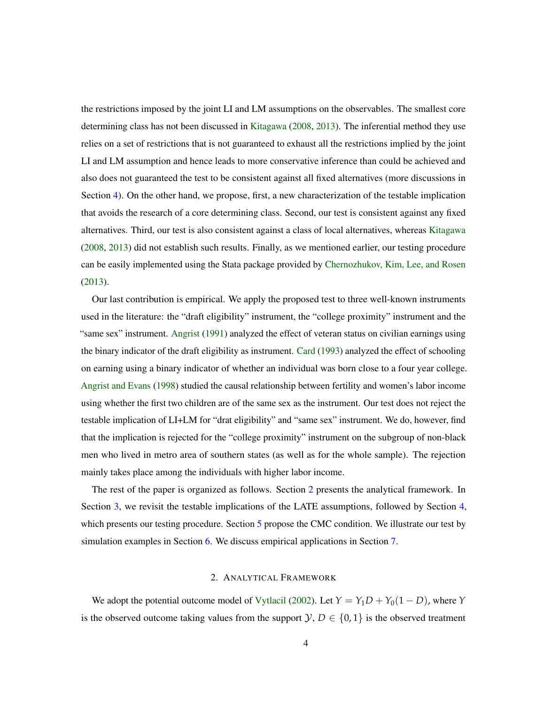the restrictions imposed by the joint LI and LM assumptions on the observables. The smallest core determining class has not been discussed in [Kitagawa](#page-23-1) [\(2008,](#page-23-1) [2013\)](#page-23-5). The inferential method they use relies on a set of restrictions that is not guaranteed to exhaust all the restrictions implied by the joint LI and LM assumption and hence leads to more conservative inference than could be achieved and also does not guaranteed the test to be consistent against all fixed alternatives (more discussions in Section [4\)](#page-7-0). On the other hand, we propose, first, a new characterization of the testable implication that avoids the research of a core determining class. Second, our test is consistent against any fixed alternatives. Third, our test is also consistent against a class of local alternatives, whereas [Kitagawa](#page-23-1) [\(2008,](#page-23-1) [2013\)](#page-23-5) did not establish such results. Finally, as we mentioned earlier, our testing procedure can be easily implemented using the Stata package provided by [Chernozhukov, Kim, Lee, and Rosen](#page-22-1) [\(2013\)](#page-22-1).

Our last contribution is empirical. We apply the proposed test to three well-known instruments used in the literature: the "draft eligibility" instrument, the "college proximity" instrument and the "same sex" instrument. [Angrist](#page-21-0) [\(1991\)](#page-21-0) analyzed the effect of veteran status on civilian earnings using the binary indicator of the draft eligibility as instrument. [Card](#page-22-2) [\(1993\)](#page-22-2) analyzed the effect of schooling on earning using a binary indicator of whether an individual was born close to a four year college. [Angrist and Evans](#page-21-1) [\(1998\)](#page-21-1) studied the causal relationship between fertility and women's labor income using whether the first two children are of the same sex as the instrument. Our test does not reject the testable implication of LI+LM for "drat eligibility" and "same sex" instrument. We do, however, find that the implication is rejected for the "college proximity" instrument on the subgroup of non-black men who lived in metro area of southern states (as well as for the whole sample). The rejection mainly takes place among the individuals with higher labor income.

The rest of the paper is organized as follows. Section [2](#page-3-0) presents the analytical framework. In Section [3,](#page-4-0) we revisit the testable implications of the LATE assumptions, followed by Section [4,](#page-7-0) which presents our testing procedure. Section [5](#page-9-0) propose the CMC condition. We illustrate our test by simulation examples in Section [6.](#page-13-0) We discuss empirical applications in Section [7.](#page-14-0)

### 2. ANALYTICAL FRAMEWORK

<span id="page-3-0"></span>We adopt the potential outcome model of [Vytlacil](#page-23-6) [\(2002\)](#page-23-6). Let  $Y = Y_1D + Y_0(1 - D)$ , where *Y* is the observed outcome taking values from the support  $\mathcal{Y}, D \in \{0, 1\}$  is the observed treatment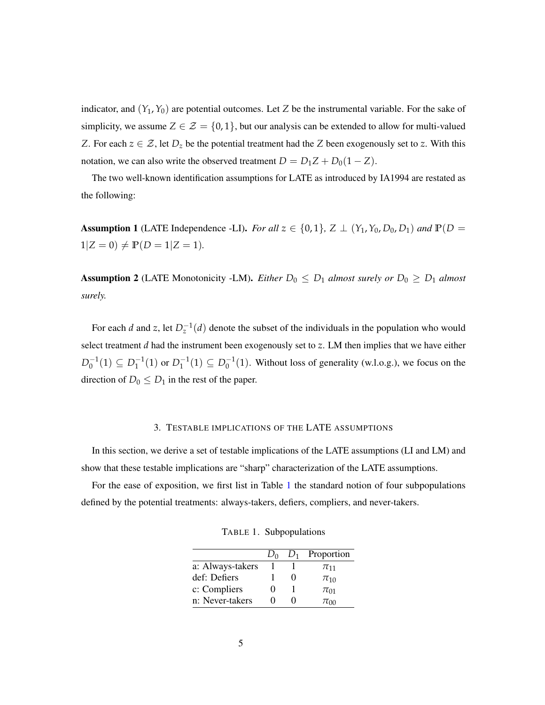indicator, and  $(Y_1, Y_0)$  are potential outcomes. Let Z be the instrumental variable. For the sake of simplicity, we assume  $Z \in \mathcal{Z} = \{0, 1\}$ , but our analysis can be extended to allow for multi-valued *Z*. For each  $z \in \mathcal{Z}$ , let  $D_z$  be the potential treatment had the *Z* been exogenously set to *z*. With this notation, we can also write the observed treatment  $D = D_1Z + D_0(1 - Z)$ .

The two well-known identification assumptions for LATE as introduced by IA1994 are restated as the following:

<span id="page-4-2"></span>Assumption 1 (LATE Independence -LI). *For all*  $z \in \{0, 1\}$ ,  $Z \perp (Y_1, Y_0, D_0, D_1)$  *and*  $\mathbb{P}(D =$  $1|Z = 0$   $\neq$   $P(D = 1|Z = 1)$ *.* 

**Assumption 2** (LATE Monotonicity -LM). *Either*  $D_0 \leq D_1$  *almost surely or*  $D_0 \geq D_1$  *almost surely.*

For each *d* and *z*, let  $D_z^{-1}(d)$  denote the subset of the individuals in the population who would select treatment *d* had the instrument been exogenously set to *z*. LM then implies that we have either  $D_0^{-1}(1) \subseteq D_1^{-1}(1)$  or  $D_1^{-1}(1) \subseteq D_0^{-1}(1)$ . Without loss of generality (w.l.o.g.), we focus on the direction of  $D_0 \leq D_1$  in the rest of the paper.

### 3. TESTABLE IMPLICATIONS OF THE LATE ASSUMPTIONS

<span id="page-4-0"></span>In this section, we derive a set of testable implications of the LATE assumptions (LI and LM) and show that these testable implications are "sharp" characterization of the LATE assumptions.

For the ease of exposition, we first list in Table [1](#page-4-1) the standard notion of four subpopulations defined by the potential treatments: always-takers, defiers, compliers, and never-takers.

<span id="page-4-1"></span>TABLE 1. Subpopulations

|                  | D٥ | $D_1$ Proportion |
|------------------|----|------------------|
| a: Always-takers |    | $\pi_{11}$       |
| def: Defiers     |    | $\pi_{10}$       |
| c: Compliers     |    | $\pi_{01}$       |
| n: Never-takers  |    | $\pi_{00}$       |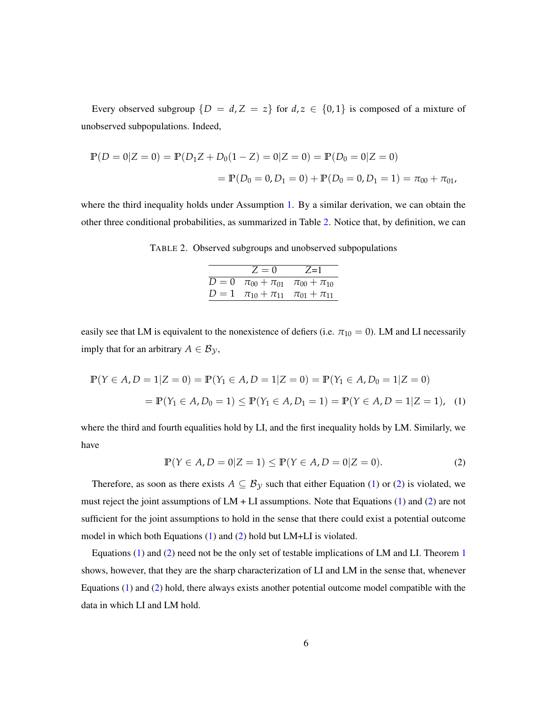Every observed subgroup  $\{D = d, Z = z\}$  for  $d, z \in \{0, 1\}$  is composed of a mixture of unobserved subpopulations. Indeed,

$$
\mathbb{P}(D = 0|Z = 0) = \mathbb{P}(D_1Z + D_0(1 - Z) = 0|Z = 0) = \mathbb{P}(D_0 = 0|Z = 0)
$$

$$
= \mathbb{P}(D_0 = 0, D_1 = 0) + \mathbb{P}(D_0 = 0, D_1 = 1) = \pi_{00} + \pi_{01},
$$

where the third inequality holds under Assumption [1.](#page-4-2) By a similar derivation, we can obtain the other three conditional probabilities, as summarized in Table [2.](#page-5-0) Notice that, by definition, we can

TABLE 2. Observed subgroups and unobserved subpopulations

<span id="page-5-1"></span><span id="page-5-0"></span>

| $Z=0$                                               | $Z=1$ |
|-----------------------------------------------------|-------|
| $D = 0$ $\pi_{00} + \pi_{01}$ $\pi_{00} + \pi_{10}$ |       |
| $D = 1$ $\pi_{10} + \pi_{11}$ $\pi_{01} + \pi_{11}$ |       |

easily see that LM is equivalent to the nonexistence of defiers (i.e.  $\pi_{10} = 0$ ). LM and LI necessarily imply that for an arbitrary  $A \in \mathcal{B}_{\mathcal{Y}}$ ,

$$
\mathbb{P}(Y \in A, D = 1 | Z = 0) = \mathbb{P}(Y_1 \in A, D = 1 | Z = 0) = \mathbb{P}(Y_1 \in A, D_0 = 1 | Z = 0)
$$

$$
= \mathbb{P}(Y_1 \in A, D_0 = 1) \le \mathbb{P}(Y_1 \in A, D_1 = 1) = \mathbb{P}(Y \in A, D = 1 | Z = 1), \quad (1)
$$

where the third and fourth equalities hold by LI, and the first inequality holds by LM. Similarly, we have

<span id="page-5-2"></span>
$$
\mathbb{P}(Y \in A, D = 0 | Z = 1) \le \mathbb{P}(Y \in A, D = 0 | Z = 0).
$$
 (2)

Therefore, as soon as there exists  $A \subseteq B_{\mathcal{Y}}$  such that either Equation [\(1\)](#page-5-1) or [\(2\)](#page-5-2) is violated, we must reject the joint assumptions of  $LM + LI$  assumptions. Note that Equations [\(1\)](#page-5-1) and [\(2\)](#page-5-2) are not sufficient for the joint assumptions to hold in the sense that there could exist a potential outcome model in which both Equations [\(1\)](#page-5-1) and [\(2\)](#page-5-2) hold but LM+LI is violated.

Equations [\(1\)](#page-5-1) and [\(2\)](#page-5-2) need not be the only set of testable implications of LM and LI. Theorem [1](#page-6-0) shows, however, that they are the sharp characterization of LI and LM in the sense that, whenever Equations [\(1\)](#page-5-1) and [\(2\)](#page-5-2) hold, there always exists another potential outcome model compatible with the data in which LI and LM hold.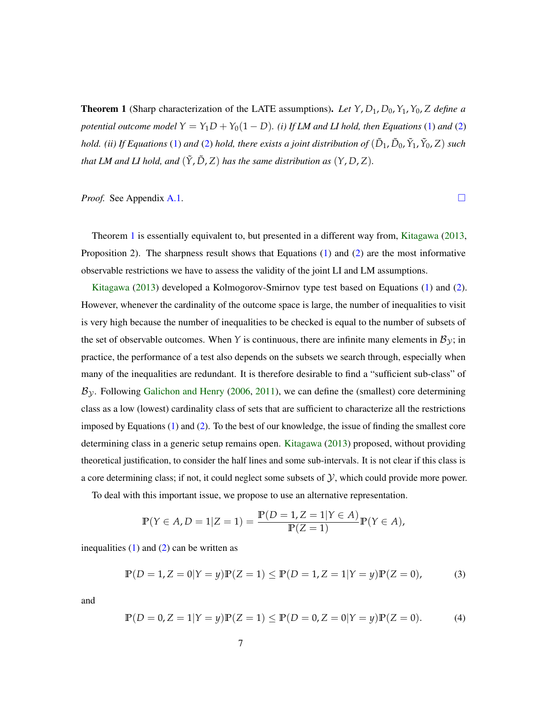<span id="page-6-0"></span>**Theorem 1** (Sharp characterization of the LATE assumptions). Let  $Y$ ,  $D_1$ ,  $D_0$ ,  $Y_1$ ,  $Y_0$ ,  $Z$  *define a potential outcome model*  $Y = Y_1D + Y_0(1 - D)$ *. (i) If LM and LI hold, then Equations* [\(1\)](#page-5-1) *and* [\(2\)](#page-5-2) *hold. (ii) If Equations* [\(1\)](#page-5-1) *and* [\(2\)](#page-5-2) *hold, there exists a joint distribution of*  $(\tilde{D}_1, \tilde{D}_0, \tilde{Y}_1, \tilde{Y}_0, Z)$  *such that LM and LI hold, and*  $(\tilde{Y}, \tilde{D}, Z)$  *has the same distribution as*  $(Y, D, Z)$ *.* 

*Proof.* See Appendix [A.1.](#page-23-7) □

Theorem [1](#page-6-0) is essentially equivalent to, but presented in a different way from, [Kitagawa](#page-23-5) [\(2013,](#page-23-5) Proposition 2). The sharpness result shows that Equations  $(1)$  and  $(2)$  are the most informative observable restrictions we have to assess the validity of the joint LI and LM assumptions.

[Kitagawa](#page-23-5) [\(2013\)](#page-23-5) developed a Kolmogorov-Smirnov type test based on Equations [\(1\)](#page-5-1) and [\(2\)](#page-5-2). However, whenever the cardinality of the outcome space is large, the number of inequalities to visit is very high because the number of inequalities to be checked is equal to the number of subsets of the set of observable outcomes. When *Y* is continuous, there are infinite many elements in  $B_y$ ; in practice, the performance of a test also depends on the subsets we search through, especially when many of the inequalities are redundant. It is therefore desirable to find a "sufficient sub-class" of  $B_y$ . Following [Galichon and Henry](#page-22-7) [\(2006,](#page-22-7) [2011\)](#page-22-8), we can define the (smallest) core determining class as a low (lowest) cardinality class of sets that are sufficient to characterize all the restrictions imposed by Equations [\(1\)](#page-5-1) and [\(2\)](#page-5-2). To the best of our knowledge, the issue of finding the smallest core determining class in a generic setup remains open. [Kitagawa](#page-23-5) [\(2013\)](#page-23-5) proposed, without providing theoretical justification, to consider the half lines and some sub-intervals. It is not clear if this class is a core determining class; if not, it could neglect some subsets of  $\mathcal{Y}$ , which could provide more power.

To deal with this important issue, we propose to use an alternative representation.

$$
\mathbb{P}(Y \in A, D = 1 | Z = 1) = \frac{\mathbb{P}(D = 1, Z = 1 | Y \in A)}{\mathbb{P}(Z = 1)} \mathbb{P}(Y \in A),
$$

inequalities  $(1)$  and  $(2)$  can be written as

$$
\mathbb{P}(D = 1, Z = 0 | Y = y)\mathbb{P}(Z = 1) \le \mathbb{P}(D = 1, Z = 1 | Y = y)\mathbb{P}(Z = 0),
$$
 (3)

and

$$
\mathbb{P}(D = 0, Z = 1 | Y = y)\mathbb{P}(Z = 1) \le \mathbb{P}(D = 0, Z = 0 | Y = y)\mathbb{P}(Z = 0).
$$
 (4)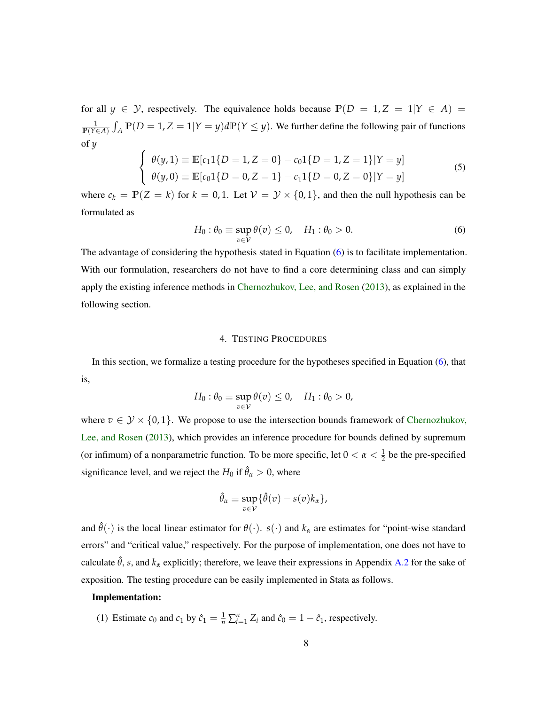for all  $y \in Y$ , respectively. The equivalence holds because  $P(D = 1, Z = 1 | Y \in A)$  $\frac{1}{\mathbb{P}(Y \in A)}$   $\int_A \mathbb{P}(D = 1, Z = 1 | Y = y) d\mathbb{P}(Y \leq y)$ . We further define the following pair of functions of *y*

<span id="page-7-2"></span>
$$
\begin{cases}\n\theta(y,1) \equiv \mathbb{E}[c_1 1\{D=1, Z=0\} - c_0 1\{D=1, Z=1\}|Y=y] \\
\theta(y,0) \equiv \mathbb{E}[c_0 1\{D=0, Z=1\} - c_1 1\{D=0, Z=0\}|Y=y]\n\end{cases}
$$
\n(5)

where  $c_k = \mathbb{P}(Z = k)$  for  $k = 0, 1$ . Let  $\mathcal{V} = \mathcal{Y} \times \{0, 1\}$ , and then the null hypothesis can be formulated as

<span id="page-7-1"></span>
$$
H_0: \theta_0 \equiv \sup_{v \in \mathcal{V}} \theta(v) \le 0, \quad H_1: \theta_0 > 0. \tag{6}
$$

The advantage of considering the hypothesis stated in Equation [\(6\)](#page-7-1) is to facilitate implementation. With our formulation, researchers do not have to find a core determining class and can simply apply the existing inference methods in [Chernozhukov, Lee, and Rosen](#page-22-0) [\(2013\)](#page-22-0), as explained in the following section.

### 4. TESTING PROCEDURES

<span id="page-7-0"></span>In this section, we formalize a testing procedure for the hypotheses specified in Equation [\(6\)](#page-7-1), that is,

$$
H_0: \theta_0 \equiv \sup_{v \in \mathcal{V}} \theta(v) \leq 0, \quad H_1: \theta_0 > 0,
$$

where  $v \in \mathcal{Y} \times \{0, 1\}$ . We propose to use the intersection bounds framework of [Chernozhukov,](#page-22-0) [Lee, and Rosen](#page-22-0) [\(2013\)](#page-22-0), which provides an inference procedure for bounds defined by supremum (or infimum) of a nonparametric function. To be more specific, let  $0 < \alpha < \frac{1}{2}$  be the pre-specified significance level, and we reject the  $H_0$  if  $\hat{\theta}_\alpha > 0$ , where

$$
\hat{\theta}_{\alpha} \equiv \sup_{v \in \mathcal{V}} \{ \hat{\theta}(v) - s(v)k_{\alpha} \},
$$

and  $\hat{\theta}(\cdot)$  is the local linear estimator for  $\theta(\cdot)$ . *s*( $\cdot$ ) and  $k_{\alpha}$  are estimates for "point-wise standard errors" and "critical value," respectively. For the purpose of implementation, one does not have to calculate  $\hat{\theta}$ , *s*, and  $k_{\alpha}$  explicitly; therefore, we leave their expressions in Appendix [A.2](#page-26-0) for the sake of exposition. The testing procedure can be easily implemented in Stata as follows.

### Implementation:

(1) Estimate  $c_0$  and  $c_1$  by  $\hat{c}_1 = \frac{1}{n} \sum_{i=1}^n Z_i$  and  $\hat{c}_0 = 1 - \hat{c}_1$ , respectively.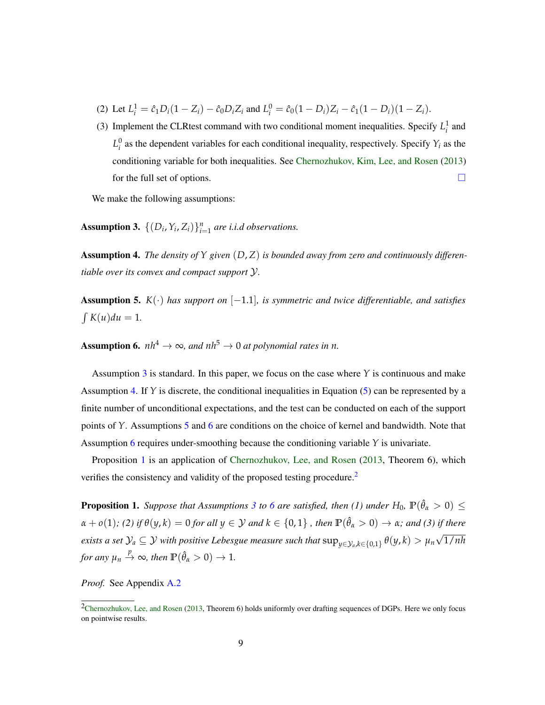- (2) Let  $L_i^1 = \hat{c}_1 D_i (1 Z_i) \hat{c}_0 D_i Z_i$  and  $L_i^0 = \hat{c}_0 (1 D_i) Z_i \hat{c}_1 (1 D_i) (1 Z_i)$ .
- (3) Implement the CLRtest command with two conditional moment inequalities. Specify  $L_i^1$  and  $L_i^0$  as the dependent variables for each conditional inequality, respectively. Specify  $Y_i$  as the conditioning variable for both inequalities. See [Chernozhukov, Kim, Lee, and Rosen](#page-22-1) [\(2013\)](#page-22-1) for the full set of options.

We make the following assumptions:

<span id="page-8-0"></span>Assumption 3.  $\{(D_i, Y_i, Z_i)\}_{i=1}^n$  are *i.i.d observations.* 

<span id="page-8-1"></span>Assumption 4. *The density of Y given* (*D*, *Z*) *is bounded away from zero and continuously differentiable over its convex and compact support* Y*.*

<span id="page-8-2"></span>Assumption 5. *K*(·) *has support on* [−1.1]*, is symmetric and twice differentiable, and satisfies*  $\int K(u) du = 1$ .

<span id="page-8-3"></span>**Assumption 6.**  $nh^4 \rightarrow \infty$ , and  $nh^5 \rightarrow 0$  at polynomial rates in n.

Assumption [3](#page-8-0) is standard. In this paper, we focus on the case where  $\gamma$  is continuous and make Assumption [4.](#page-8-1) If  $Y$  is discrete, the conditional inequalities in Equation [\(5\)](#page-7-2) can be represented by a finite number of unconditional expectations, and the test can be conducted on each of the support points of *Y*. Assumptions [5](#page-8-2) and [6](#page-8-3) are conditions on the choice of kernel and bandwidth. Note that Assumption [6](#page-8-3) requires under-smoothing because the conditioning variable *Y* is univariate.

Proposition [1](#page-8-4) is an application of [Chernozhukov, Lee, and Rosen](#page-22-0) [\(2013,](#page-22-0) Theorem 6), which verifies the consistency and validity of the proposed testing procedure.<sup>[2](#page-8-5)</sup>

<span id="page-8-4"></span>**Proposition 1.** *Suppose that Assumptions* [3](#page-8-0) *to* [6](#page-8-3) *are satisfied, then* (1) *under*  $H_0$ ,  $\mathbb{P}(\hat{\theta}_\alpha > 0) \leq$  $\alpha + o(1)$ ; (2) if  $\theta(y,k) = 0$  for all  $y \in \mathcal{Y}$  and  $k \in \{0,1\}$  , then  $\mathbb{P}(\hat{\theta}_\alpha > 0) \to \alpha$ ; and (3) if there  $e$ xists a set  $\mathcal{Y}_a \subseteq \mathcal{Y}$  with positive Lebesgue measure such that  $\sup_{y \in \mathcal{Y}_a, k \in \{0,1\}} \theta(y, k) > \mu_n$ √ 1/*nh for any*  $\mu_n \stackrel{p}{\rightarrow} \infty$ *, then*  $\mathbb{P}(\hat{\theta}_\alpha > 0) \rightarrow 1$ *.* 

*Proof.* See Appendix [A.2](#page-26-0)

<span id="page-8-5"></span> $2$ [Chernozhukov, Lee, and Rosen](#page-22-0) [\(2013,](#page-22-0) Theorem 6) holds uniformly over drafting sequences of DGPs. Here we only focus on pointwise results.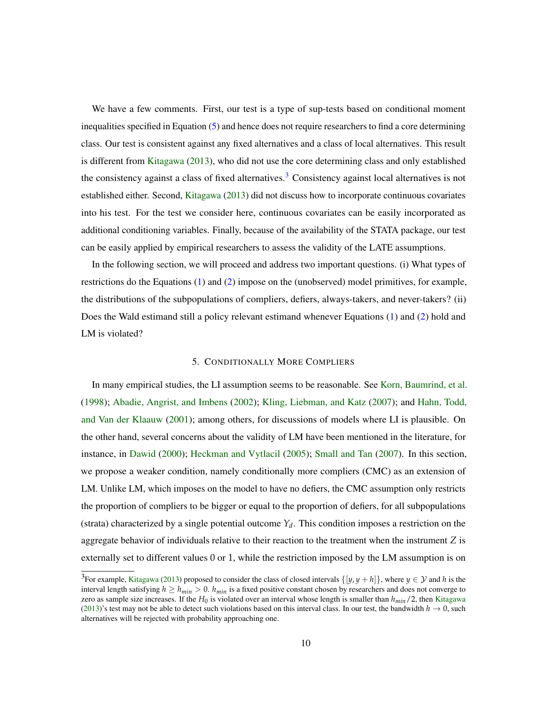We have a few comments. First, our test is a type of sup-tests based on conditional moment inequalities specified in Equation [\(5\)](#page-7-2) and hence does not require researchers to find a core determining class. Our test is consistent against any fixed alternatives and a class of local alternatives. This result is different from [Kitagawa](#page-23-5) [\(2013\)](#page-23-5), who did not use the core determining class and only established the consistency against a class of fixed alternatives.<sup>[3](#page-9-1)</sup> Consistency against local alternatives is not established either. Second, [Kitagawa](#page-23-5) [\(2013\)](#page-23-5) did not discuss how to incorporate continuous covariates into his test. For the test we consider here, continuous covariates can be easily incorporated as additional conditioning variables. Finally, because of the availability of the STATA package, our test can be easily applied by empirical researchers to assess the validity of the LATE assumptions.

In the following section, we will proceed and address two important questions. (i) What types of restrictions do the Equations [\(1\)](#page-5-1) and [\(2\)](#page-5-2) impose on the (unobserved) model primitives, for example, the distributions of the subpopulations of compliers, defiers, always-takers, and never-takers? (ii) Does the Wald estimand still a policy relevant estimand whenever Equations [\(1\)](#page-5-1) and [\(2\)](#page-5-2) hold and LM is violated?

### 5. CONDITIONALLY MORE COMPLIERS

<span id="page-9-0"></span>In many empirical studies, the LI assumption seems to be reasonable. See [Korn, Baumrind, et al.](#page-23-8) [\(1998\)](#page-23-8); [Abadie, Angrist, and Imbens](#page-21-3) [\(2002\)](#page-21-3); [Kling, Liebman, and Katz](#page-23-9) [\(2007\)](#page-23-9); and [Hahn, Todd,](#page-22-9) [and Van der Klaauw](#page-22-9) [\(2001\)](#page-22-9); among others, for discussions of models where LI is plausible. On the other hand, several concerns about the validity of LM have been mentioned in the literature, for instance, in [Dawid](#page-22-4) [\(2000\)](#page-22-4); [Heckman and Vytlacil](#page-22-5) [\(2005\)](#page-22-5); [Small and Tan](#page-23-4) [\(2007\)](#page-23-4). In this section, we propose a weaker condition, namely conditionally more compliers (CMC) as an extension of LM. Unlike LM, which imposes on the model to have no defiers, the CMC assumption only restricts the proportion of compliers to be bigger or equal to the proportion of defiers, for all subpopulations (strata) characterized by a single potential outcome  $Y_d$ . This condition imposes a restriction on the aggregate behavior of individuals relative to their reaction to the treatment when the instrument *Z* is externally set to different values 0 or 1, while the restriction imposed by the LM assumption is on

<span id="page-9-1"></span><sup>&</sup>lt;sup>3</sup>For example, [Kitagawa](#page-23-5) [\(2013\)](#page-23-5) proposed to consider the class of closed intervals  $\{[y, y + h]\}$ , where  $y \in \mathcal{Y}$  and h is the interval length satisfying  $h \ge h_{min} > 0$ .  $h_{min}$  is a fixed positive constant chosen by researchers and does not converge to zero as sample size increases. If the *H*<sup>0</sup> is violated over an interval whose length is smaller than *hmin*/2, then [Kitagawa](#page-23-5) [\(2013\)](#page-23-5)'s test may not be able to detect such violations based on this interval class. In our test, the bandwidth  $h \to 0$ , such alternatives will be rejected with probability approaching one.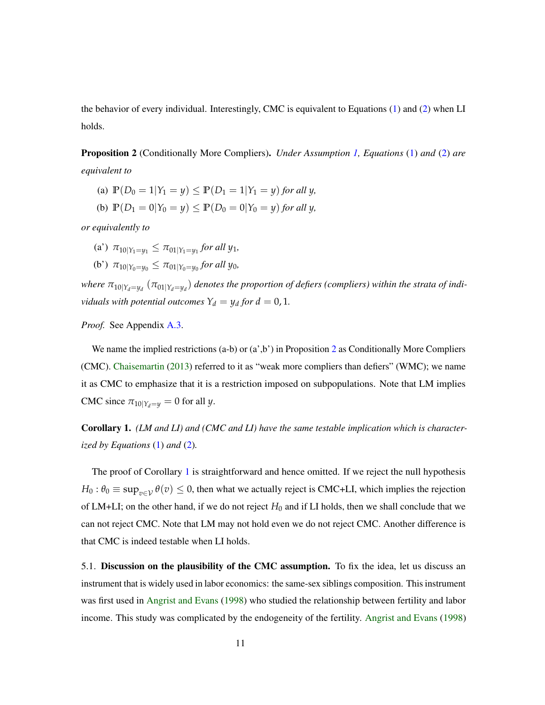the behavior of every individual. Interestingly, CMC is equivalent to Equations [\(1\)](#page-5-1) and [\(2\)](#page-5-2) when LI holds.

<span id="page-10-0"></span>Proposition 2 (Conditionally More Compliers). *Under Assumption [1,](#page-4-2) Equations* [\(1\)](#page-5-1) *and* [\(2\)](#page-5-2) *are equivalent to*

- (a)  $\mathbb{P}(D_0 = 1 | Y_1 = y) \leq \mathbb{P}(D_1 = 1 | Y_1 = y)$  *for all y*,
- (b)  $\mathbb{P}(D_1 = 0 | Y_0 = y) \leq \mathbb{P}(D_0 = 0 | Y_0 = y)$  *for all y,*

*or equivalently to*

- $\pi_1$ <sup>2</sup>,  $\pi_2$ <sup>1</sup>,  $\pi_3$   $\pi_4$   $\pi_5$   $\pi_6$  *z*<sub>1</sub>*y*<sub>1</sub>*,*  $\pi_7$  *z*<sub>1</sub>*y*<sub>1</sub>*,*
- (b')  $\pi_{10|Y_0=y_0} \leq \pi_{01|Y_0=y_0}$  for all  $y_0$ ,

where  $\pi_{10|Y_d=y_d}\left(\pi_{01|Y_d=y_d}\right)$  denotes the proportion of defiers (compliers) within the strata of indi*viduals with potential outcomes*  $Y_d = y_d$  *for*  $d = 0, 1$ *.* 

*Proof.* See Appendix [A.3.](#page-27-0)

We name the implied restrictions  $(a-b)$  or  $(a',b')$  in Proposition [2](#page-10-0) as Conditionally More Compliers (CMC). [Chaisemartin](#page-22-6) [\(2013\)](#page-22-6) referred to it as "weak more compliers than defiers" (WMC); we name it as CMC to emphasize that it is a restriction imposed on subpopulations. Note that LM implies CMC since  $\pi_{10|Y_d=y} = 0$  for all *y*.

<span id="page-10-1"></span>Corollary 1. *(LM and LI) and (CMC and LI) have the same testable implication which is characterized by Equations* [\(1\)](#page-5-1) *and* [\(2\)](#page-5-2)*.*

The proof of Corollary [1](#page-10-1) is straightforward and hence omitted. If we reject the null hypothesis  $H_0: \theta_0 \equiv \sup_{v \in V} \theta(v) \leq 0$ , then what we actually reject is CMC+LI, which implies the rejection of LM+LI; on the other hand, if we do not reject  $H_0$  and if LI holds, then we shall conclude that we can not reject CMC. Note that LM may not hold even we do not reject CMC. Another difference is that CMC is indeed testable when LI holds.

5.1. Discussion on the plausibility of the CMC assumption. To fix the idea, let us discuss an instrument that is widely used in labor economics: the same-sex siblings composition. This instrument was first used in [Angrist and Evans](#page-21-1) [\(1998\)](#page-21-1) who studied the relationship between fertility and labor income. This study was complicated by the endogeneity of the fertility. [Angrist and Evans](#page-21-1) [\(1998\)](#page-21-1)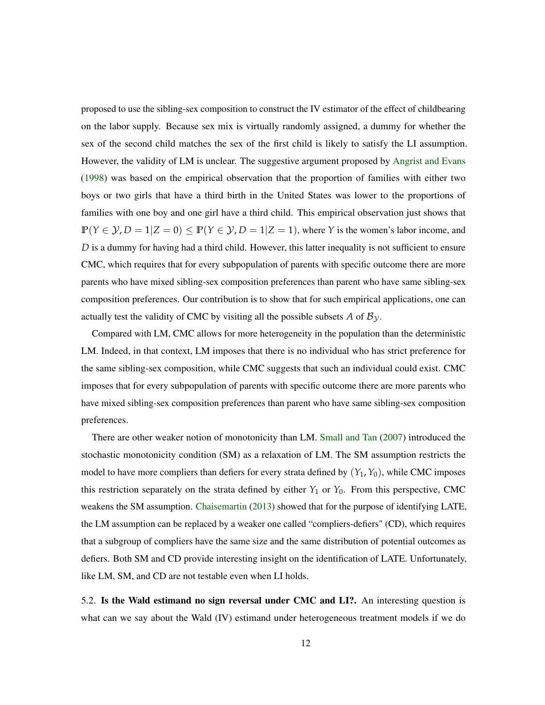proposed to use the sibling-sex composition to construct the IV estimator of the effect of childbearing on the labor supply. Because sex mix is virtually randomly assigned, a dummy for whether the sex of the second child matches the sex of the first child is likely to satisfy the LI assumption. However, the validity of LM is unclear. The suggestive argument proposed by [Angrist and Evans](#page-21-1) [\(1998\)](#page-21-1) was based on the empirical observation that the proportion of families with either two boys or two girls that have a third birth in the United States was lower to the proportions of families with one boy and one girl have a third child. This empirical observation just shows that  $P(Y \in \mathcal{Y}, D = 1 | Z = 0) \le P(Y \in \mathcal{Y}, D = 1 | Z = 1)$ , where *Y* is the women's labor income, and *D* is a dummy for having had a third child. However, this latter inequality is not sufficient to ensure CMC, which requires that for every subpopulation of parents with specific outcome there are more parents who have mixed sibling-sex composition preferences than parent who have same sibling-sex composition preferences. Our contribution is to show that for such empirical applications, one can actually test the validity of CMC by visiting all the possible subsets  $A$  of  $B_y$ .

Compared with LM, CMC allows for more heterogeneity in the population than the deterministic LM. Indeed, in that context, LM imposes that there is no individual who has strict preference for the same sibling-sex composition, while CMC suggests that such an individual could exist. CMC imposes that for every subpopulation of parents with specific outcome there are more parents who have mixed sibling-sex composition preferences than parent who have same sibling-sex composition preferences.

There are other weaker notion of monotonicity than LM. [Small and Tan](#page-23-4) [\(2007\)](#page-23-4) introduced the stochastic monotonicity condition (SM) as a relaxation of LM. The SM assumption restricts the model to have more compliers than defiers for every strata defined by  $(Y_1, Y_0)$ , while CMC imposes this restriction separately on the strata defined by either  $Y_1$  or  $Y_0$ . From this perspective, CMC weakens the SM assumption. [Chaisemartin](#page-22-6) [\(2013\)](#page-22-6) showed that for the purpose of identifying LATE, the LM assumption can be replaced by a weaker one called "compliers-defiers" (CD), which requires that a subgroup of compliers have the same size and the same distribution of potential outcomes as defiers. Both SM and CD provide interesting insight on the identification of LATE. Unfortunately, like LM, SM, and CD are not testable even when LI holds.

5.2. Is the Wald estimand no sign reversal under CMC and LI?. An interesting question is what can we say about the Wald (IV) estimand under heterogeneous treatment models if we do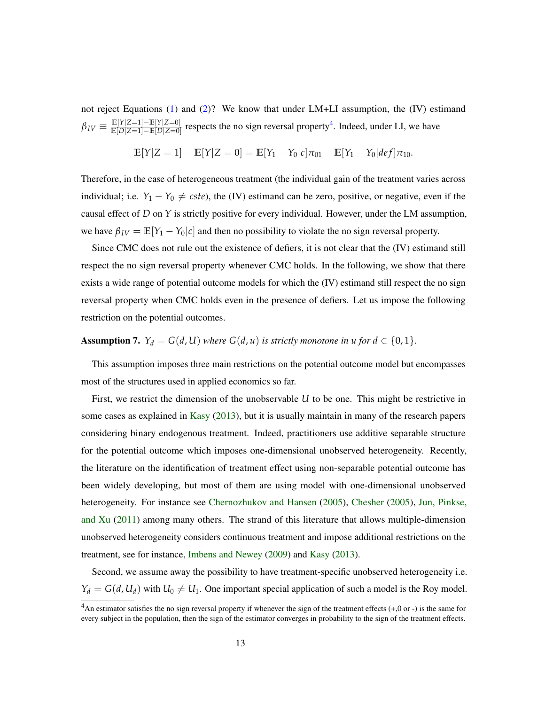not reject Equations [\(1\)](#page-5-1) and [\(2\)](#page-5-2)? We know that under LM+LI assumption, the (IV) estimand  $\beta_{IV} \equiv \frac{\mathbb{E}[Y|Z=1]-\mathbb{E}[Y|Z=0]}{\mathbb{E}[D|Z=1]-\mathbb{E}[D|Z=0]}$  $\frac{\mathbb{E}[Y|Z=1]-\mathbb{E}[Y|Z=0]}{\mathbb{E}[D|Z=1]-\mathbb{E}[D|Z=0]}$  respects the no sign reversal property<sup>[4](#page-12-0)</sup>. Indeed, under LI, we have

$$
\mathbb{E}[Y|Z=1]-\mathbb{E}[Y|Z=0]=\mathbb{E}[Y_1-Y_0|c]\pi_{01}-\mathbb{E}[Y_1-Y_0|def]\pi_{10}.
$$

Therefore, in the case of heterogeneous treatment (the individual gain of the treatment varies across individual; i.e.  $Y_1 - Y_0 \neq cste$ , the (IV) estimand can be zero, positive, or negative, even if the causal effect of *D* on *Y* is strictly positive for every individual. However, under the LM assumption, we have  $\beta_{IV} = \mathbb{E}[Y_1 - Y_0|c]$  and then no possibility to violate the no sign reversal property.

Since CMC does not rule out the existence of defiers, it is not clear that the (IV) estimand still respect the no sign reversal property whenever CMC holds. In the following, we show that there exists a wide range of potential outcome models for which the (IV) estimand still respect the no sign reversal property when CMC holds even in the presence of defiers. Let us impose the following restriction on the potential outcomes.

# <span id="page-12-1"></span>**Assumption 7.**  $Y_d = G(d, U)$  where  $G(d, u)$  is strictly monotone in  $u$  for  $d \in \{0, 1\}$ .

This assumption imposes three main restrictions on the potential outcome model but encompasses most of the structures used in applied economics so far.

First, we restrict the dimension of the unobservable *U* to be one. This might be restrictive in some cases as explained in [Kasy](#page-23-10) [\(2013\)](#page-23-10), but it is usually maintain in many of the research papers considering binary endogenous treatment. Indeed, practitioners use additive separable structure for the potential outcome which imposes one-dimensional unobserved heterogeneity. Recently, the literature on the identification of treatment effect using non-separable potential outcome has been widely developing, but most of them are using model with one-dimensional unobserved heterogeneity. For instance see [Chernozhukov and Hansen](#page-22-10) [\(2005\)](#page-22-10), [Chesher](#page-22-11) [\(2005\)](#page-22-11), [Jun, Pinkse,](#page-23-11) [and Xu](#page-23-11) [\(2011\)](#page-23-11) among many others. The strand of this literature that allows multiple-dimension unobserved heterogeneity considers continuous treatment and impose additional restrictions on the treatment, see for instance, [Imbens and Newey](#page-23-12) [\(2009\)](#page-23-12) and [Kasy](#page-23-10) [\(2013\)](#page-23-10).

Second, we assume away the possibility to have treatment-specific unobserved heterogeneity i.e.  $Y_d = G(d, U_d)$  with  $U_0 \neq U_1$ . One important special application of such a model is the Roy model.

<span id="page-12-0"></span> $4$ An estimator satisfies the no sign reversal property if whenever the sign of the treatment effects  $(+,0 \text{ or } -)$  is the same for every subject in the population, then the sign of the estimator converges in probability to the sign of the treatment effects.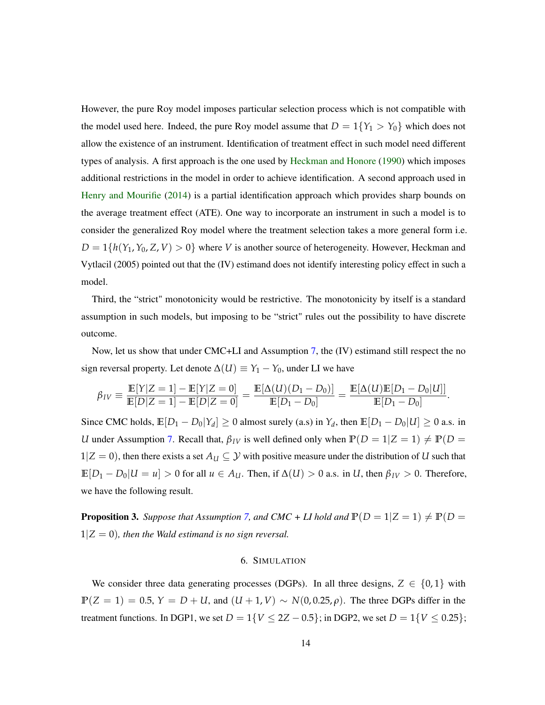However, the pure Roy model imposes particular selection process which is not compatible with the model used here. Indeed, the pure Roy model assume that  $D = 1\{Y_1 > Y_0\}$  which does not allow the existence of an instrument. Identification of treatment effect in such model need different types of analysis. A first approach is the one used by [Heckman and Honore](#page-22-12) [\(1990\)](#page-22-12) which imposes additional restrictions in the model in order to achieve identification. A second approach used in [Henry and Mourifie](#page-22-13) [\(2014\)](#page-22-13) is a partial identification approach which provides sharp bounds on the average treatment effect (ATE). One way to incorporate an instrument in such a model is to consider the generalized Roy model where the treatment selection takes a more general form i.e.  $D = 1\{h(Y_1, Y_0, Z, V) > 0\}$  where *V* is another source of heterogeneity. However, Heckman and Vytlacil (2005) pointed out that the (IV) estimand does not identify interesting policy effect in such a model.

Third, the "strict" monotonicity would be restrictive. The monotonicity by itself is a standard assumption in such models, but imposing to be "strict" rules out the possibility to have discrete outcome.

Now, let us show that under CMC+LI and Assumption [7,](#page-12-1) the (IV) estimand still respect the no sign reversal property. Let denote  $\Delta(U) \equiv Y_1 - Y_0$ , under LI we have

$$
\beta_{IV} \equiv \frac{\mathbb{E}[Y|Z=1] - \mathbb{E}[Y|Z=0]}{\mathbb{E}[D|Z=1] - \mathbb{E}[D|Z=0]} = \frac{\mathbb{E}[\Delta(u)(D_1 - D_0)]}{\mathbb{E}[D_1 - D_0]} = \frac{\mathbb{E}[\Delta(u)\mathbb{E}[D_1 - D_0|U]]}{\mathbb{E}[D_1 - D_0]}.
$$

Since CMC holds,  $\mathbb{E}[D_1 - D_0|Y_d] \ge 0$  almost surely (a.s) in  $Y_d$ , then  $\mathbb{E}[D_1 - D_0|U] \ge 0$  a.s. in *U* under Assumption [7.](#page-12-1) Recall that,  $\beta_{IV}$  is well defined only when  $P(D = 1|Z = 1) \neq P(D = 1)$ 1| $Z = 0$ ), then there exists a set  $A_U \subseteq Y$  with positive measure under the distribution of *U* such that **E**[*D*<sup>1</sup> − *D*0|*U* = *u*] > 0 for all *u* ∈ *AU*. Then, if ∆(*U*) > 0 a.s. in *U*, then *βIV* > 0. Therefore, we have the following result.

**Proposition 3.** *Suppose that Assumption [7,](#page-12-1) and CMC + LI hold and*  $P(D = 1|Z = 1) \neq P(D = 1)$  $1|Z = 0$ ), then the Wald estimand is no sign reversal.

### 6. SIMULATION

<span id="page-13-0"></span>We consider three data generating processes (DGPs). In all three designs,  $Z \in \{0,1\}$  with  $P(Z = 1) = 0.5$ ,  $Y = D + U$ , and  $(U + 1, V) \sim N(0, 0.25, \rho)$ . The three DGPs differ in the treatment functions. In DGP1, we set  $D = 1\{V \le 2Z - 0.5\}$ ; in DGP2, we set  $D = 1\{V \le 0.25\}$ ;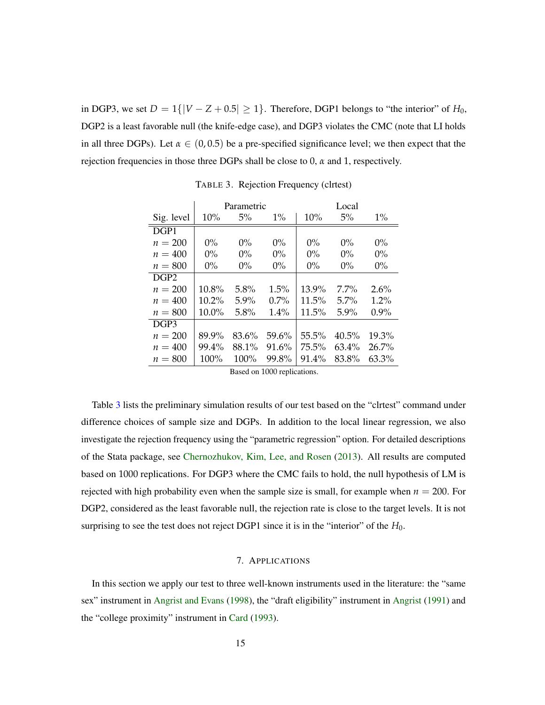in DGP3, we set  $D = 1\{|V - Z + 0.5| \ge 1\}$ . Therefore, DGP1 belongs to "the interior" of  $H_0$ , DGP2 is a least favorable null (the knife-edge case), and DGP3 violates the CMC (note that LI holds in all three DGPs). Let  $\alpha \in (0, 0.5)$  be a pre-specified significance level; we then expect that the rejection frequencies in those three DGPs shall be close to 0, *α* and 1, respectively.

|                  |       | Parametric |         |          | Local    |         |
|------------------|-------|------------|---------|----------|----------|---------|
| Sig. level       | 10%   | 5%         | $1\%$   | 10%      | 5%       | $1\%$   |
| DGP1             |       |            |         |          |          |         |
| $n = 200$        | $0\%$ | $0\%$      | $0\%$   | $0\%$    | $0\%$    | $0\%$   |
| $n = 400$        | $0\%$ | $0\%$      | $0\%$   | $0\%$    | $0\%$    | $0\%$   |
| $n = 800$        | $0\%$ | $0\%$      | $0\%$   | $0\%$    | $0\%$    | $0\%$   |
| DGP <sub>2</sub> |       |            |         |          |          |         |
| $n = 200$        | 10.8% | 5.8%       | $1.5\%$ | 13.9%    | $7.7\%$  | 2.6%    |
| $n = 400$        | 10.2% | $5.9\%$    | $0.7\%$ | 11.5%    | $5.7\%$  | $1.2\%$ |
| $n = 800$        | 10.0% | 5.8%       | 1.4%    | 11.5%    | 5.9%     | $0.9\%$ |
| DGP3             |       |            |         |          |          |         |
| $n = 200$        | 89.9% | 83.6%      | 59.6%   | $55.5\%$ | $40.5\%$ | 19.3%   |
| $n=400$          | 99.4% | 88.1%      | 91.6%   | 75.5%    | $63.4\%$ | 26.7%   |
| $n = 800$        | 100%  | 100%       | 99.8%   | 91.4%    | 83.8%    | 63.3%   |

<span id="page-14-1"></span>TABLE 3. Rejection Frequency (clrtest)

Based on 1000 replications.

Table [3](#page-14-1) lists the preliminary simulation results of our test based on the "clrtest" command under difference choices of sample size and DGPs. In addition to the local linear regression, we also investigate the rejection frequency using the "parametric regression" option. For detailed descriptions of the Stata package, see [Chernozhukov, Kim, Lee, and Rosen](#page-22-1) [\(2013\)](#page-22-1). All results are computed based on 1000 replications. For DGP3 where the CMC fails to hold, the null hypothesis of LM is rejected with high probability even when the sample size is small, for example when  $n = 200$ . For DGP2, considered as the least favorable null, the rejection rate is close to the target levels. It is not surprising to see the test does not reject DGP1 since it is in the "interior" of the  $H_0$ .

### 7. APPLICATIONS

<span id="page-14-0"></span>In this section we apply our test to three well-known instruments used in the literature: the "same sex" instrument in [Angrist and Evans](#page-21-1) [\(1998\)](#page-21-1), the "draft eligibility" instrument in [Angrist](#page-21-0) [\(1991\)](#page-21-0) and the "college proximity" instrument in [Card](#page-22-2) [\(1993\)](#page-22-2).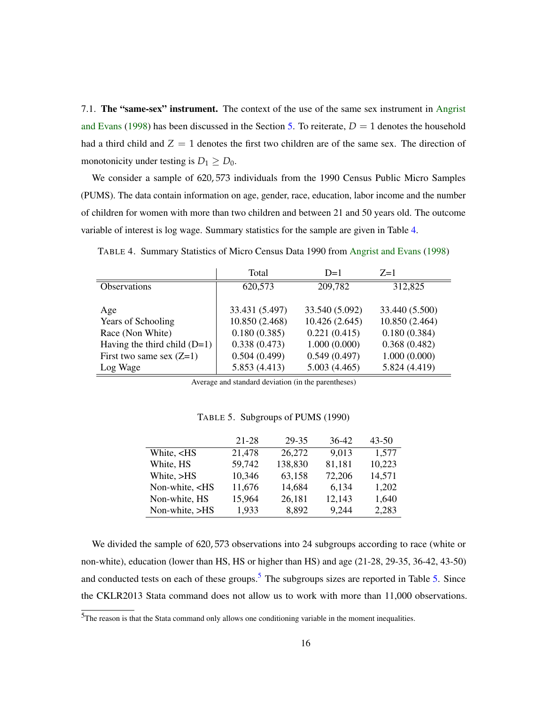7.1. The "same-sex" instrument. The context of the use of the same sex instrument in [Angrist](#page-21-1) [and Evans](#page-21-1) [\(1998\)](#page-21-1) has been discussed in the Section [5.](#page-9-0) To reiterate,  $D = 1$  denotes the household had a third child and  $Z = 1$  denotes the first two children are of the same sex. The direction of monotonicity under testing is  $D_1 \geq D_0$ .

We consider a sample of 620, 573 individuals from the 1990 Census Public Micro Samples (PUMS). The data contain information on age, gender, race, education, labor income and the number of children for women with more than two children and between 21 and 50 years old. The outcome variable of interest is log wage. Summary statistics for the sample are given in Table [4.](#page-15-0)

|                                | Total          | $D=1$          | $Z=1$          |
|--------------------------------|----------------|----------------|----------------|
| Observations                   | 620,573        | 209,782        | 312,825        |
|                                |                |                |                |
| Age                            | 33.431 (5.497) | 33.540 (5.092) | 33.440 (5.500) |
| <b>Years of Schooling</b>      | 10.850 (2.468) | 10.426 (2.645) | 10.850 (2.464) |
| Race (Non White)               | 0.180(0.385)   | 0.221(0.415)   | 0.180(0.384)   |
| Having the third child $(D=1)$ | 0.338(0.473)   | 1.000(0.000)   | 0.368(0.482)   |
| First two same sex $(Z=1)$     | 0.504(0.499)   | 0.549(0.497)   | 1.000(0.000)   |
| Log Wage                       | 5.853 (4.413)  | 5.003(4.465)   | 5.824 (4.419)  |

<span id="page-15-0"></span>TABLE 4. Summary Statistics of Micro Census Data 1990 from [Angrist and Evans](#page-21-1) [\(1998\)](#page-21-1)

Average and standard deviation (in the parentheses)

|                                                                                        | 21-28  | 29-35   | 36-42  | $43 - 50$ |
|----------------------------------------------------------------------------------------|--------|---------|--------|-----------|
| White, <hs< td=""><td>21,478</td><td>26,272</td><td>9,013</td><td>1,577</td></hs<>     | 21,478 | 26,272  | 9,013  | 1,577     |
| White, HS                                                                              | 59,742 | 138,830 | 81,181 | 10,223    |
| White, >HS                                                                             | 10,346 | 63,158  | 72,206 | 14,571    |
| Non-white, <hs< td=""><td>11,676</td><td>14,684</td><td>6,134</td><td>1,202</td></hs<> | 11,676 | 14,684  | 6,134  | 1,202     |
| Non-white, HS                                                                          | 15,964 | 26,181  | 12,143 | 1,640     |
| Non-white, >HS                                                                         | 1,933  | 8,892   | 9,244  | 2,283     |

<span id="page-15-2"></span>TABLE 5. Subgroups of PUMS (1990)

We divided the sample of 620, 573 observations into 24 subgroups according to race (white or non-white), education (lower than HS, HS or higher than HS) and age (21-28, 29-35, 36-42, 43-50) and conducted tests on each of these groups.<sup>[5](#page-15-1)</sup> The subgroups sizes are reported in Table  $5$ . Since the CKLR2013 Stata command does not allow us to work with more than 11,000 observations.

<span id="page-15-1"></span><sup>5</sup>The reason is that the Stata command only allows one conditioning variable in the moment inequalities.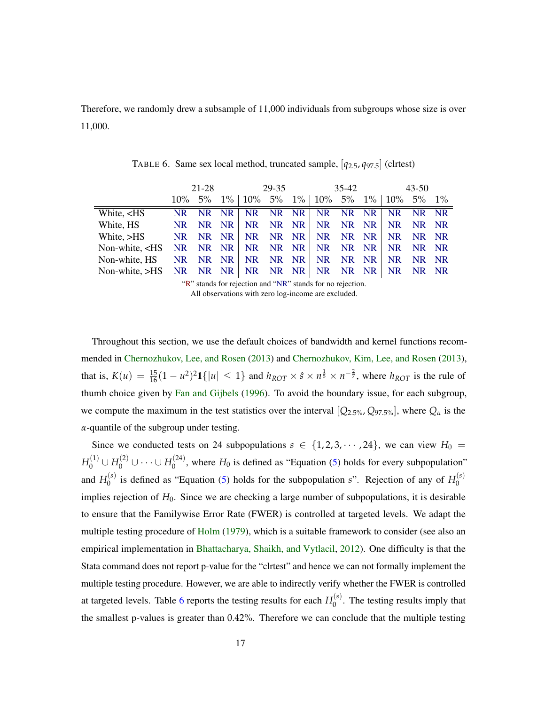Therefore, we randomly drew a subsample of 11,000 individuals from subgroups whose size is over 11,000.

|                                                                                                                                                                             | $21 - 28$ |       |  |          | 29-35<br>35-42 |  |                                                             |    | 43-50     |           |       |     |
|-----------------------------------------------------------------------------------------------------------------------------------------------------------------------------|-----------|-------|--|----------|----------------|--|-------------------------------------------------------------|----|-----------|-----------|-------|-----|
|                                                                                                                                                                             | $10\%$    | $5\%$ |  |          |                |  | $1\%$   $10\%$ 5% $1\%$   $10\%$ 5% $1\%$   $10\%$ 5% $1\%$ |    |           |           |       |     |
| White, <hs< td=""><td>NR.</td><td>NR NR</td><td></td><td></td><td></td><td></td><td>NR NR NR NR NR NR</td><td></td><td></td><td><b>NR</b></td><td>NR NR</td><td></td></hs<> | NR.       | NR NR |  |          |                |  | NR NR NR NR NR NR                                           |    |           | <b>NR</b> | NR NR |     |
| White, HS                                                                                                                                                                   | NR.       | NR NR |  |          | NR NR NR       |  | NR NR NR                                                    |    |           | NR.       | NR NR |     |
| White, >HS                                                                                                                                                                  | NR.       | NR NR |  | NR NR NR |                |  | NR NR NR                                                    |    |           | NR.       | NR NR |     |
| Non-white, $\langle$ HS                                                                                                                                                     |           |       |  |          |                |  | NR NR NR   NR NR NR   NR NR NR                              |    |           | NR.       | NR NR |     |
| Non-white, HS                                                                                                                                                               | NR.       | NR NR |  | NR NR NR |                |  | NR NR NR                                                    |    |           | NR.       | NR NR |     |
| Non-white, $>HS$                                                                                                                                                            | NR.       | NR NR |  | NR       | $NR$ $NR$      |  | NR.                                                         | NR | <b>NR</b> | <b>NR</b> |       | NR. |

<span id="page-16-0"></span>TABLE 6. Same sex local method, truncated sample, [*q*2.5, *q*97.5] (clrtest)

"R" stands for rejection and "NR" stands for no rejection. All observations with zero log-income are excluded.

Throughout this section, we use the default choices of bandwidth and kernel functions recommended in [Chernozhukov, Lee, and Rosen](#page-22-0) [\(2013\)](#page-22-0) and [Chernozhukov, Kim, Lee, and Rosen](#page-22-1) [\(2013\)](#page-22-1), that is,  $K(u) = \frac{15}{16}(1 - u^2)^2 \mathbf{1}\{|u| \leq 1\}$  and  $h_{ROT} \times \hat{s} \times n^{\frac{1}{5}} \times n^{-\frac{2}{7}}$ , where  $h_{ROT}$  is the rule of thumb choice given by [Fan and Gijbels](#page-22-14) [\(1996\)](#page-22-14). To avoid the boundary issue, for each subgroup, we compute the maximum in the test statistics over the interval  $[Q_{2.5\%}, Q_{97.5\%}]$ , where  $Q_{\alpha}$  is the *α*-quantile of the subgroup under testing.

Since we conducted tests on 24 subpopulations  $s \in \{1, 2, 3, \cdots, 24\}$ , we can view  $H_0 =$  $H_0^{(1)} \cup H_0^{(2)} \cup \cdots \cup H_0^{(24)}$  $\binom{1}{0}$ , where  $H_0$  is defined as "Equation [\(5\)](#page-7-2) holds for every subpopulation" and  $H_0^{(s)}$  $\mu_0^{(s)}$  is defined as "Equation [\(5\)](#page-7-2) holds for the subpopulation *s*". Rejection of any of  $H_0^{(s)}$  $\theta$ implies rejection of  $H_0$ . Since we are checking a large number of subpopulations, it is desirable to ensure that the Familywise Error Rate (FWER) is controlled at targeted levels. We adapt the multiple testing procedure of [Holm](#page-22-15) [\(1979\)](#page-22-15), which is a suitable framework to consider (see also an empirical implementation in [Bhattacharya, Shaikh, and Vytlacil,](#page-21-4) [2012\)](#page-21-4). One difficulty is that the Stata command does not report p-value for the "clrtest" and hence we can not formally implement the multiple testing procedure. However, we are able to indirectly verify whether the FWER is controlled at targeted levels. Table [6](#page-16-0) reports the testing results for each  $H_0^{(s)}$  $0^{(s)}$ . The testing results imply that the smallest p-values is greater than 0.42%. Therefore we can conclude that the multiple testing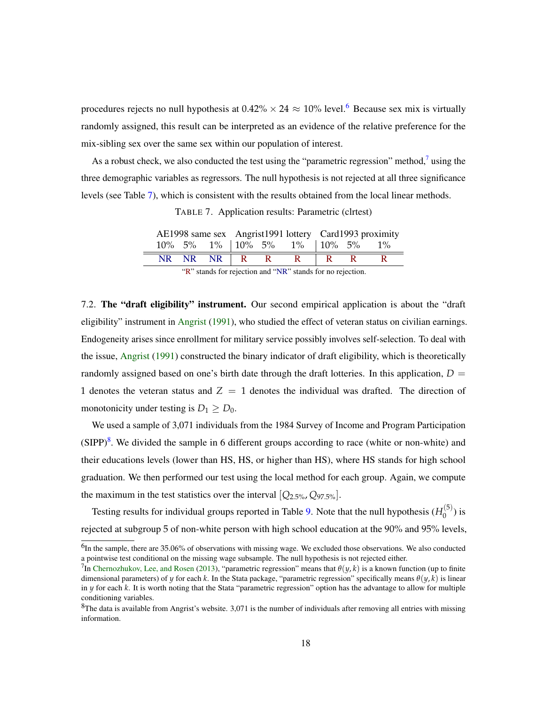procedures rejects no null hypothesis at  $0.42\% \times 24 \approx 10\%$  level.<sup>[6](#page-17-0)</sup> Because sex mix is virtually randomly assigned, this result can be interpreted as an evidence of the relative preference for the mix-sibling sex over the same sex within our population of interest.

As a robust check, we also conducted the test using the "parametric regression" method, $\frac{7}{1}$  $\frac{7}{1}$  $\frac{7}{1}$  using the three demographic variables as regressors. The null hypothesis is not rejected at all three significance levels (see Table [7\)](#page-17-2), which is consistent with the results obtained from the local linear methods.

<span id="page-17-2"></span>TABLE 7. Application results: Parametric (clrtest)

|  |            |  |              |                                              | AE1998 same sex Angrist1991 lottery Card1993 proximity |  |  |
|--|------------|--|--------------|----------------------------------------------|--------------------------------------------------------|--|--|
|  |            |  |              | $10\%$ 5% 1% $10\%$ 5% 1% $10\%$ 5% 1% 5% 1% |                                                        |  |  |
|  | NR NR NR R |  | $\mathbf{R}$ |                                              |                                                        |  |  |

"R" stands for rejection and "NR" stands for no rejection.

7.2. The "draft eligibility" instrument. Our second empirical application is about the "draft eligibility" instrument in [Angrist](#page-21-0) [\(1991\)](#page-21-0), who studied the effect of veteran status on civilian earnings. Endogeneity arises since enrollment for military service possibly involves self-selection. To deal with the issue, [Angrist](#page-21-0) [\(1991\)](#page-21-0) constructed the binary indicator of draft eligibility, which is theoretically randomly assigned based on one's birth date through the draft lotteries. In this application,  $D =$ 1 denotes the veteran status and  $Z = 1$  denotes the individual was drafted. The direction of monotonicity under testing is  $D_1 \geq D_0$ .

We used a sample of 3,071 individuals from the 1984 Survey of Income and Program Participation  $(SIPP)^8$  $(SIPP)^8$ . We divided the sample in 6 different groups according to race (white or non-white) and their educations levels (lower than HS, HS, or higher than HS), where HS stands for high school graduation. We then performed our test using the local method for each group. Again, we compute the maximum in the test statistics over the interval  $[Q_{2.5\%}, Q_{97.5\%}]$ .

Testing results for individual groups reported in Table [9.](#page-18-0) Note that the null hypothesis  $(H_0^{(5)}$  $\binom{5}{0}$  is rejected at subgroup 5 of non-white person with high school education at the 90% and 95% levels,

<span id="page-17-0"></span> $<sup>6</sup>$ In the sample, there are 35.06% of observations with missing wage. We excluded those observations. We also conducted</sup> a pointwise test conditional on the missing wage subsample. The null hypothesis is not rejected either.

<span id="page-17-1"></span><sup>&</sup>lt;sup>7</sup>In [Chernozhukov, Lee, and Rosen](#page-22-0) [\(2013\)](#page-22-0), "parametric regression" means that  $\theta(y, k)$  is a known function (up to finite dimensional parameters) of *y* for each *k*. In the Stata package, "parametric regression" specifically means *θ*(*y*, *k*) is linear in *y* for each *k*. It is worth noting that the Stata "parametric regression" option has the advantage to allow for multiple conditioning variables.

<span id="page-17-3"></span> ${}^{8}$ The data is available from Angrist's website. 3,071 is the number of individuals after removing all entries with missing information.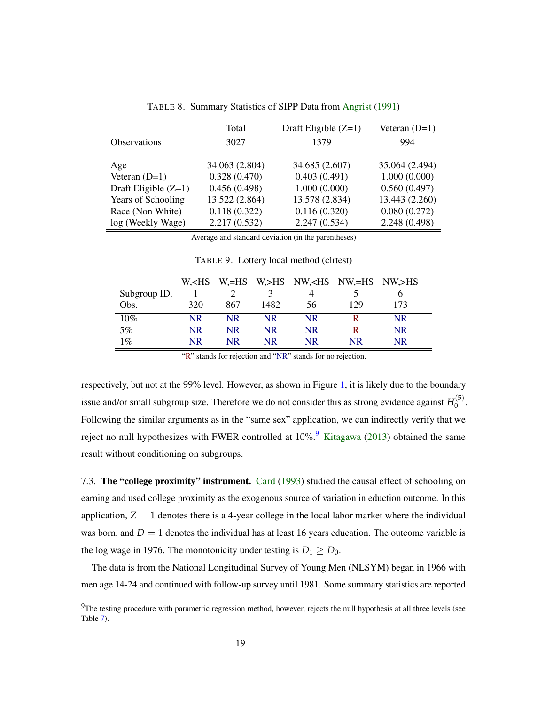| 35.064 (2.494) |
|----------------|
| 1.000(0.000)   |
| 0.560(0.497)   |
| 13.443 (2.260) |
| 0.080(0.272)   |
| 2.248 (0.498)  |
| 994            |

TABLE 8. Summary Statistics of SIPP Data from [Angrist](#page-21-0) [\(1991\)](#page-21-0)

Average and standard deviation (in the parentheses)

<span id="page-18-0"></span>TABLE 9. Lottery local method (clrtest)

|              |           |           |           | W, <hs w,="">HS NW,<hs nw,="">HS</hs></hs> |           |           |  |
|--------------|-----------|-----------|-----------|--------------------------------------------|-----------|-----------|--|
| Subgroup ID. |           |           |           |                                            |           |           |  |
| Obs.         | 320       | 867       | 1482      | 56                                         | 129       | 173       |  |
| 10%          | NR        | NR.       | NR        | <b>NR</b>                                  |           | <b>NR</b> |  |
| 5%           | <b>NR</b> | <b>NR</b> | <b>NR</b> | <b>NR</b>                                  |           | <b>NR</b> |  |
| $1\%$        | NR        | NR.       | <b>NR</b> | <b>NR</b>                                  | <b>NR</b> | <b>NR</b> |  |

"R" stands for rejection and "NR" stands for no rejection.

respectively, but not at the 99% level. However, as shown in Figure [1,](#page-19-0) it is likely due to the boundary issue and/or small subgroup size. Therefore we do not consider this as strong evidence against  $H_0^{(5)}$  $\stackrel{(3)}{0}$ . Following the similar arguments as in the "same sex" application, we can indirectly verify that we reject no null hypothesizes with FWER controlled at 10%.<sup>[9](#page-18-1)</sup> [Kitagawa](#page-23-5) [\(2013\)](#page-23-5) obtained the same result without conditioning on subgroups.

7.3. The "college proximity" instrument. [Card](#page-22-2) [\(1993\)](#page-22-2) studied the causal effect of schooling on earning and used college proximity as the exogenous source of variation in eduction outcome. In this application,  $Z = 1$  denotes there is a 4-year college in the local labor market where the individual was born, and  $D = 1$  denotes the individual has at least 16 years education. The outcome variable is the log wage in 1976. The monotonicity under testing is  $D_1 \ge D_0$ .

The data is from the National Longitudinal Survey of Young Men (NLSYM) began in 1966 with men age 14-24 and continued with follow-up survey until 1981. Some summary statistics are reported

<span id="page-18-1"></span> $9$ The testing procedure with parametric regression method, however, rejects the null hypothesis at all three levels (see Table [7\)](#page-17-2).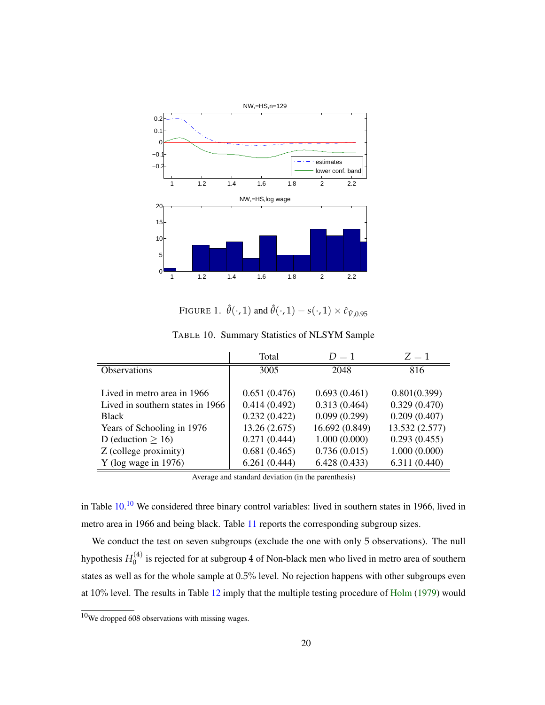

<span id="page-19-1"></span><span id="page-19-0"></span>FIGURE 1.  $\hat{\theta}(\cdot, 1)$  and  $\hat{\theta}(\cdot, 1) - s(\cdot, 1) \times \hat{c}_{\hat{V} \cdot 0.95}$ 

|                                  | Total         | $D=1$          | $Z = 1$        |
|----------------------------------|---------------|----------------|----------------|
| <b>Observations</b>              | 3005          | 2048           | 816            |
|                                  |               |                |                |
| Lived in metro area in 1966      | 0.651(0.476)  | 0.693(0.461)   | 0.801(0.399)   |
| Lived in southern states in 1966 | 0.414(0.492)  | 0.313(0.464)   | 0.329(0.470)   |
| <b>Black</b>                     | 0.232(0.422)  | 0.099(0.299)   | 0.209(0.407)   |
| Years of Schooling in 1976       | 13.26 (2.675) | 16.692 (0.849) | 13.532 (2.577) |
| D (eduction $> 16$ )             | 0.271(0.444)  | 1.000(0.000)   | 0.293(0.455)   |
| Z (college proximity)            | 0.681(0.465)  | 0.736(0.015)   | 1.000(0.000)   |
| $Y$ (log wage in 1976)           | 6.261(0.444)  | 6.428(0.433)   | 6.311(0.440)   |
|                                  |               |                |                |

TABLE 10. Summary Statistics of NLSYM Sample

Average and standard deviation (in the parenthesis)

in Table [10.](#page-19-1)<sup>[10](#page-19-2)</sup> We considered three binary control variables: lived in southern states in 1966, lived in metro area in 1966 and being black. Table [11](#page-20-0) reports the corresponding subgroup sizes.

We conduct the test on seven subgroups (exclude the one with only 5 observations). The null hypothesis  $H_0^{(4)}$  $\binom{1}{0}$  is rejected for at subgroup 4 of Non-black men who lived in metro area of southern states as well as for the whole sample at 0.5% level. No rejection happens with other subgroups even at 10% level. The results in Table [12](#page-20-1) imply that the multiple testing procedure of [Holm](#page-22-15) [\(1979\)](#page-22-15) would

<span id="page-19-2"></span> $10$ We dropped 608 observations with missing wages.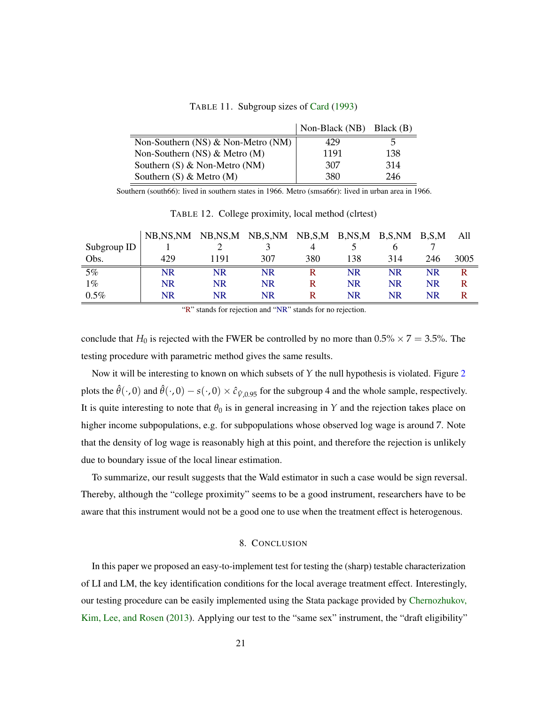<span id="page-20-0"></span>TABLE 11. Subgroup sizes of [Card](#page-22-2) [\(1993\)](#page-22-2)

|                                        | Non-Black (NB) Black (B) |     |
|----------------------------------------|--------------------------|-----|
| Non-Southern $(NS)$ & Non-Metro $(NM)$ | 429                      | h   |
| Non-Southern $(NS)$ & Metro $(M)$      | 1191                     | 138 |
| Southern $(S)$ & Non-Metro $(NM)$      | 307                      | 314 |
| Southern $(S)$ & Metro $(M)$           | 380                      | 246 |

Southern (south66): lived in southern states in 1966. Metro (smsa66r): lived in urban area in 1966.

|             | NB,NS,NM | NB,NS,M NB,S,NM |     | $NB, S, M$ $B, NS, M$ |     | B,S,NM | B.S.M | All  |
|-------------|----------|-----------------|-----|-----------------------|-----|--------|-------|------|
| Subgroup ID |          |                 |     |                       |     |        |       |      |
| Obs.        | 429      | 1191            | 307 | 380                   | 138 | 314    | 246   | 3005 |
| 5%          | NR       | NR              | NR  |                       | NR  | NR     | NR    |      |
| $1\%$       | NR       | NR              | NR  |                       | NR  | NR     | NR.   |      |
| $0.5\%$     | NR       | NR              | NR  |                       | NR  | NR     | NR    |      |

<span id="page-20-1"></span>TABLE 12. College proximity, local method (clrtest)

"R" stands for rejection and "NR" stands for no rejection.

conclude that  $H_0$  is rejected with the FWER be controlled by no more than  $0.5\% \times 7 = 3.5\%$ . The testing procedure with parametric method gives the same results.

Now it will be interesting to known on which subsets of *Y* the null hypothesis is violated. Figure [2](#page-21-5) plots the  $\hat{\theta}(\cdot, 0)$  and  $\hat{\theta}(\cdot, 0) - s(\cdot, 0) \times \hat{c}_{\hat{V},0.95}$  for the subgroup 4 and the whole sample, respectively. It is quite interesting to note that  $\theta_0$  is in general increasing in *Y* and the rejection takes place on higher income subpopulations, e.g. for subpopulations whose observed log wage is around 7. Note that the density of log wage is reasonably high at this point, and therefore the rejection is unlikely due to boundary issue of the local linear estimation.

To summarize, our result suggests that the Wald estimator in such a case would be sign reversal. Thereby, although the "college proximity" seems to be a good instrument, researchers have to be aware that this instrument would not be a good one to use when the treatment effect is heterogenous.

### 8. CONCLUSION

In this paper we proposed an easy-to-implement test for testing the (sharp) testable characterization of LI and LM, the key identification conditions for the local average treatment effect. Interestingly, our testing procedure can be easily implemented using the Stata package provided by [Chernozhukov,](#page-22-1) [Kim, Lee, and Rosen](#page-22-1) [\(2013\)](#page-22-1). Applying our test to the "same sex" instrument, the "draft eligibility"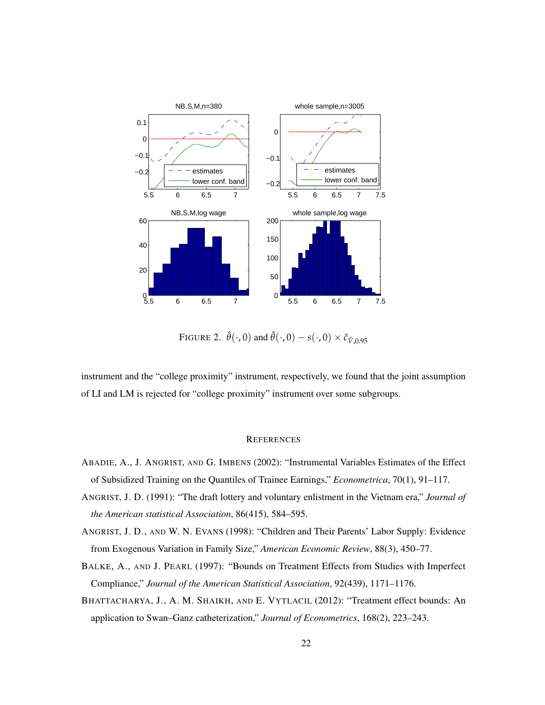

<span id="page-21-5"></span>FIGURE 2.  $\hat{\theta}(\cdot, 0)$  and  $\hat{\theta}(\cdot, 0) - s(\cdot, 0) \times \hat{c}_{\hat{V}\cdot 0.95}$ 

instrument and the "college proximity" instrument, respectively, we found that the joint assumption of LI and LM is rejected for "college proximity" instrument over some subgroups.

### **REFERENCES**

- <span id="page-21-3"></span>ABADIE, A., J. ANGRIST, AND G. IMBENS (2002): "Instrumental Variables Estimates of the Effect of Subsidized Training on the Quantiles of Trainee Earnings," *Econometrica*, 70(1), 91–117.
- <span id="page-21-0"></span>ANGRIST, J. D. (1991): "The draft lottery and voluntary enlistment in the Vietnam era," *Journal of the American statistical Association*, 86(415), 584–595.
- <span id="page-21-1"></span>ANGRIST, J. D., AND W. N. EVANS (1998): "Children and Their Parents' Labor Supply: Evidence from Exogenous Variation in Family Size," *American Economic Review*, 88(3), 450–77.
- <span id="page-21-2"></span>BALKE, A., AND J. PEARL (1997): "Bounds on Treatment Effects from Studies with Imperfect Compliance," *Journal of the American Statistical Association*, 92(439), 1171–1176.
- <span id="page-21-4"></span>BHATTACHARYA, J., A. M. SHAIKH, AND E. VYTLACIL (2012): "Treatment effect bounds: An application to Swan–Ganz catheterization," *Journal of Econometrics*, 168(2), 223–243.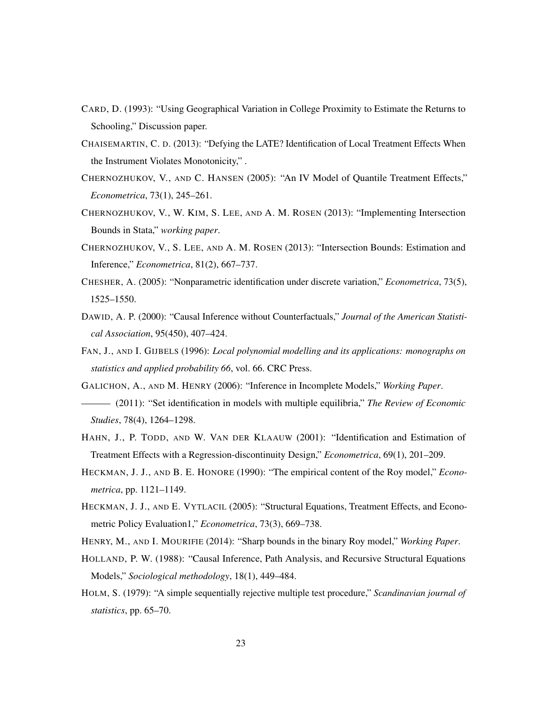- <span id="page-22-2"></span>CARD, D. (1993): "Using Geographical Variation in College Proximity to Estimate the Returns to Schooling," Discussion paper.
- <span id="page-22-6"></span>CHAISEMARTIN, C. D. (2013): "Defying the LATE? Identification of Local Treatment Effects When the Instrument Violates Monotonicity," .
- <span id="page-22-10"></span>CHERNOZHUKOV, V., AND C. HANSEN (2005): "An IV Model of Quantile Treatment Effects," *Econometrica*, 73(1), 245–261.
- <span id="page-22-1"></span>CHERNOZHUKOV, V., W. KIM, S. LEE, AND A. M. ROSEN (2013): "Implementing Intersection Bounds in Stata," *working paper*.
- <span id="page-22-0"></span>CHERNOZHUKOV, V., S. LEE, AND A. M. ROSEN (2013): "Intersection Bounds: Estimation and Inference," *Econometrica*, 81(2), 667–737.
- <span id="page-22-11"></span>CHESHER, A. (2005): "Nonparametric identification under discrete variation," *Econometrica*, 73(5), 1525–1550.
- <span id="page-22-4"></span>DAWID, A. P. (2000): "Causal Inference without Counterfactuals," *Journal of the American Statistical Association*, 95(450), 407–424.
- <span id="page-22-14"></span>FAN, J., AND I. GIJBELS (1996): *Local polynomial modelling and its applications: monographs on statistics and applied probability 66*, vol. 66. CRC Press.
- <span id="page-22-8"></span><span id="page-22-7"></span>GALICHON, A., AND M. HENRY (2006): "Inference in Incomplete Models," *Working Paper*.
- (2011): "Set identification in models with multiple equilibria," *The Review of Economic Studies*, 78(4), 1264–1298.
- <span id="page-22-9"></span>HAHN, J., P. TODD, AND W. VAN DER KLAAUW (2001): "Identification and Estimation of Treatment Effects with a Regression-discontinuity Design," *Econometrica*, 69(1), 201–209.
- <span id="page-22-12"></span>HECKMAN, J. J., AND B. E. HONORE (1990): "The empirical content of the Roy model," *Econometrica*, pp. 1121–1149.
- <span id="page-22-5"></span>HECKMAN, J. J., AND E. VYTLACIL (2005): "Structural Equations, Treatment Effects, and Econometric Policy Evaluation1," *Econometrica*, 73(3), 669–738.
- <span id="page-22-13"></span><span id="page-22-3"></span>HENRY, M., AND I. MOURIFIE (2014): "Sharp bounds in the binary Roy model," *Working Paper*.
- HOLLAND, P. W. (1988): "Causal Inference, Path Analysis, and Recursive Structural Equations Models," *Sociological methodology*, 18(1), 449–484.
- <span id="page-22-15"></span>HOLM, S. (1979): "A simple sequentially rejective multiple test procedure," *Scandinavian journal of statistics*, pp. 65–70.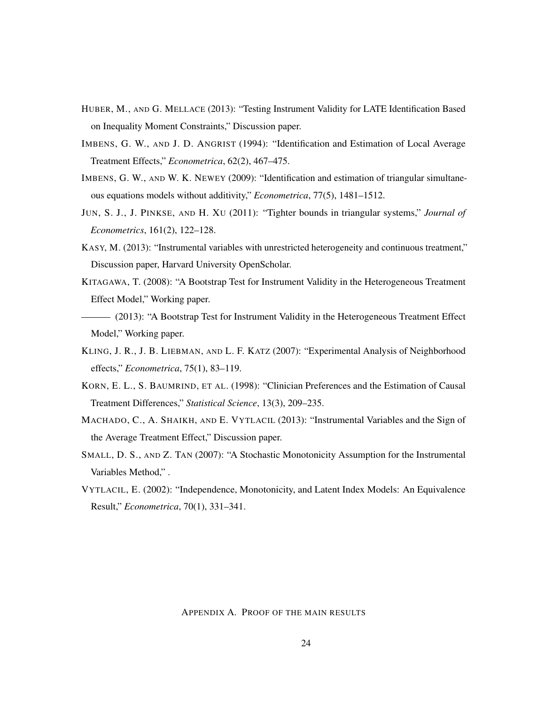- <span id="page-23-3"></span>HUBER, M., AND G. MELLACE (2013): "Testing Instrument Validity for LATE Identification Based on Inequality Moment Constraints," Discussion paper.
- <span id="page-23-0"></span>IMBENS, G. W., AND J. D. ANGRIST (1994): "Identification and Estimation of Local Average Treatment Effects," *Econometrica*, 62(2), 467–475.
- <span id="page-23-12"></span>IMBENS, G. W., AND W. K. NEWEY (2009): "Identification and estimation of triangular simultaneous equations models without additivity," *Econometrica*, 77(5), 1481–1512.
- <span id="page-23-11"></span>JUN, S. J., J. PINKSE, AND H. XU (2011): "Tighter bounds in triangular systems," *Journal of Econometrics*, 161(2), 122–128.
- <span id="page-23-10"></span>KASY, M. (2013): "Instrumental variables with unrestricted heterogeneity and continuous treatment," Discussion paper, Harvard University OpenScholar.
- <span id="page-23-1"></span>KITAGAWA, T. (2008): "A Bootstrap Test for Instrument Validity in the Heterogeneous Treatment Effect Model," Working paper.
- <span id="page-23-5"></span>(2013): "A Bootstrap Test for Instrument Validity in the Heterogeneous Treatment Effect Model," Working paper.
- <span id="page-23-9"></span>KLING, J. R., J. B. LIEBMAN, AND L. F. KATZ (2007): "Experimental Analysis of Neighborhood effects," *Econometrica*, 75(1), 83–119.
- <span id="page-23-8"></span>KORN, E. L., S. BAUMRIND, ET AL. (1998): "Clinician Preferences and the Estimation of Causal Treatment Differences," *Statistical Science*, 13(3), 209–235.
- <span id="page-23-2"></span>MACHADO, C., A. SHAIKH, AND E. VYTLACIL (2013): "Instrumental Variables and the Sign of the Average Treatment Effect," Discussion paper.
- <span id="page-23-4"></span>SMALL, D. S., AND Z. TAN (2007): "A Stochastic Monotonicity Assumption for the Instrumental Variables Method," .
- <span id="page-23-6"></span>VYTLACIL, E. (2002): "Independence, Monotonicity, and Latent Index Models: An Equivalence Result," *Econometrica*, 70(1), 331–341.

## <span id="page-23-7"></span>APPENDIX A. PROOF OF THE MAIN RESULTS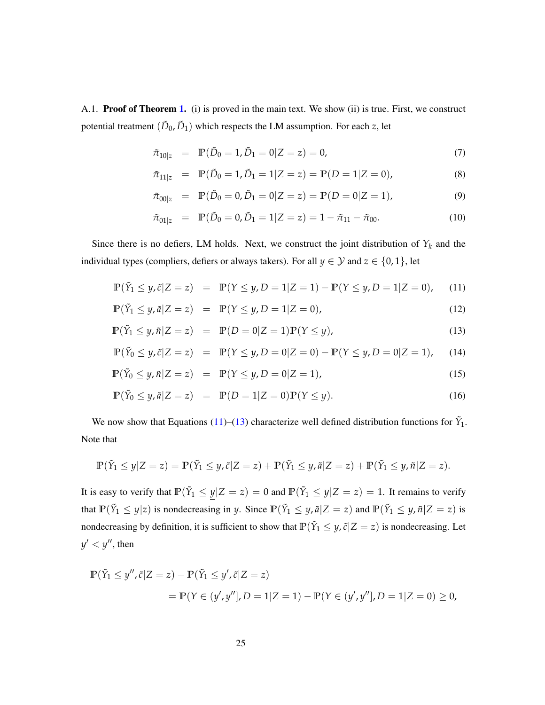A.1. Proof of Theorem [1.](#page-6-0) (i) is proved in the main text. We show (ii) is true. First, we construct potential treatment  $(\tilde{D}_0, \tilde{D}_1)$  which respects the LM assumption. For each *z*, let

$$
\tilde{\pi}_{10|z} = \mathbb{P}(\tilde{D}_0 = 1, \tilde{D}_1 = 0 | Z = z) = 0, \tag{7}
$$

$$
\tilde{\pi}_{11|z} = \mathbb{P}(\tilde{D}_0 = 1, \tilde{D}_1 = 1 | Z = z) = \mathbb{P}(D = 1 | Z = 0), \tag{8}
$$

$$
\tilde{\pi}_{00|z} = \mathbb{P}(\tilde{D}_0 = 0, \tilde{D}_1 = 0 | Z = z) = \mathbb{P}(D = 0 | Z = 1), \tag{9}
$$

$$
\tilde{\pi}_{01|z} = \mathbb{P}(\tilde{D}_0 = 0, \tilde{D}_1 = 1 | Z = z) = 1 - \tilde{\pi}_{11} - \tilde{\pi}_{00}.
$$
\n(10)

Since there is no defiers, LM holds. Next, we construct the joint distribution of  $Y_k$  and the individual types (compliers, defiers or always takers). For all  $y \in \mathcal{Y}$  and  $z \in \{0, 1\}$ , let

<span id="page-24-0"></span>
$$
\mathbb{P}(\tilde{Y}_1 \le y, \tilde{c}|Z = z) = \mathbb{P}(Y \le y, D = 1|Z = 1) - \mathbb{P}(Y \le y, D = 1|Z = 0), \quad (11)
$$

$$
\mathbb{P}(\tilde{Y}_1 \le y, \tilde{a}|Z = z) = \mathbb{P}(Y \le y, D = 1|Z = 0),\tag{12}
$$

$$
\mathbb{P}(\tilde{Y}_1 \le y, \tilde{n}|Z = z) = \mathbb{P}(D = 0|Z = 1)\mathbb{P}(Y \le y),\tag{13}
$$

$$
\mathbb{P}(\tilde{Y}_0 \le y, \tilde{c}|Z = z) = \mathbb{P}(Y \le y, D = 0|Z = 0) - \mathbb{P}(Y \le y, D = 0|Z = 1), \quad (14)
$$

$$
\mathbb{P}(\tilde{Y}_0 \le y, \tilde{n}|Z = z) = \mathbb{P}(Y \le y, D = 0|Z = 1),\tag{15}
$$

$$
\mathbb{P}(\tilde{Y}_0 \le y, \tilde{a}|Z = z) = \mathbb{P}(D = 1|Z = 0)\mathbb{P}(Y \le y).
$$
\n(16)

We now show that Equations [\(11\)](#page-24-0)–[\(13\)](#page-24-0) characterize well defined distribution functions for  $\tilde{Y}_1$ . Note that

$$
\mathbb{P}(\tilde{Y}_1 \leq y | Z = z) = \mathbb{P}(\tilde{Y}_1 \leq y, \tilde{c} | Z = z) + \mathbb{P}(\tilde{Y}_1 \leq y, \tilde{a} | Z = z) + \mathbb{P}(\tilde{Y}_1 \leq y, \tilde{n} | Z = z).
$$

It is easy to verify that  $\mathbb{P}(\tilde{Y}_1 \le y | Z = z) = 0$  and  $\mathbb{P}(\tilde{Y}_1 \le \overline{y} | Z = z) = 1$ . It remains to verify that  $\mathbb{P}(\tilde{Y}_1 \leq y|z)$  is nondecreasing in *y*. Since  $\mathbb{P}(\tilde{Y}_1 \leq y, \tilde{a}|Z = z)$  and  $\mathbb{P}(\tilde{Y}_1 \leq y, \tilde{n}|Z = z)$  is nondecreasing by definition, it is sufficient to show that  $\mathbb{P}(\tilde{Y}_1 \leq y, \tilde{c}|Z = z)$  is nondecreasing. Let  $y' < y''$ , then

$$
\mathbb{P}(\tilde{Y}_1 \le y'', \tilde{c}|Z = z) - \mathbb{P}(\tilde{Y}_1 \le y', \tilde{c}|Z = z)
$$
  
= 
$$
\mathbb{P}(Y \in (y', y''], D = 1|Z = 1) - \mathbb{P}(Y \in (y', y''], D = 1|Z = 0) \ge 0,
$$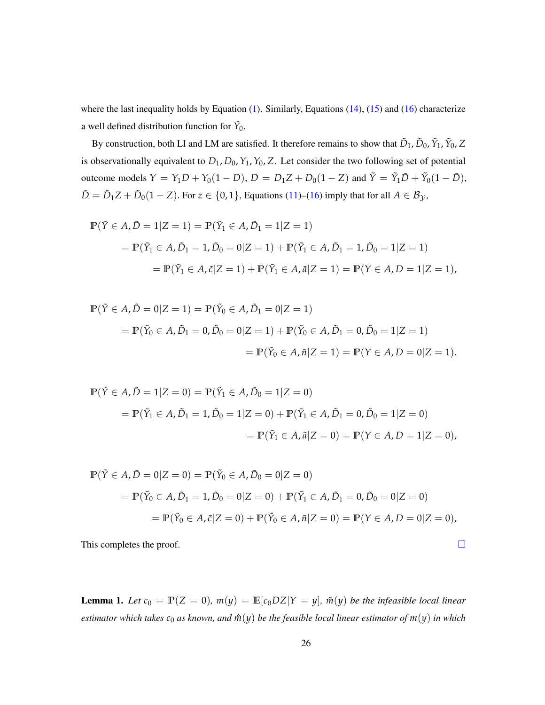where the last inequality holds by Equation [\(1\)](#page-5-1). Similarly, Equations [\(14\)](#page-24-0), [\(15\)](#page-24-0) and [\(16\)](#page-24-0) characterize a well defined distribution function for  $\tilde{Y}_0$ .

By construction, both LI and LM are satisfied. It therefore remains to show that  $\tilde{D}_1$ ,  $\tilde{D}_0$ ,  $\tilde{Y}_1$ ,  $\tilde{Y}_0$ ,  $Z$ is observationally equivalent to  $D_1$ ,  $D_0$ ,  $Y_1$ ,  $Y_0$ , Z. Let consider the two following set of potential outcome models  $Y = Y_1D + Y_0(1 - D)$ ,  $D = D_1Z + D_0(1 - Z)$  and  $\tilde{Y} = \tilde{Y}_1\tilde{D} + \tilde{Y}_0(1 - \tilde{D})$ ,  $\tilde{D} = \tilde{D}_1 Z + \tilde{D}_0 (1 - Z)$ . For  $z \in \{0, 1\}$ , Equations [\(11\)](#page-24-0)–[\(16\)](#page-24-0) imply that for all  $A \in \mathcal{B}_{\mathcal{Y}}$ ,

$$
\mathbb{P}(\tilde{Y} \in A, \tilde{D} = 1 | Z = 1) = \mathbb{P}(\tilde{Y}_1 \in A, \tilde{D}_1 = 1 | Z = 1)
$$
  
=  $\mathbb{P}(\tilde{Y}_1 \in A, \tilde{D}_1 = 1, \tilde{D}_0 = 0 | Z = 1) + \mathbb{P}(\tilde{Y}_1 \in A, \tilde{D}_1 = 1, \tilde{D}_0 = 1 | Z = 1)$   
=  $\mathbb{P}(\tilde{Y}_1 \in A, \tilde{c} | Z = 1) + \mathbb{P}(\tilde{Y}_1 \in A, \tilde{a} | Z = 1) = \mathbb{P}(Y \in A, D = 1 | Z = 1),$ 

$$
\mathbb{P}(\tilde{Y} \in A, \tilde{D} = 0 | Z = 1) = \mathbb{P}(\tilde{Y}_0 \in A, \tilde{D}_1 = 0 | Z = 1)
$$
  
=  $\mathbb{P}(\tilde{Y}_0 \in A, \tilde{D}_1 = 0, \tilde{D}_0 = 0 | Z = 1) + \mathbb{P}(\tilde{Y}_0 \in A, \tilde{D}_1 = 0, \tilde{D}_0 = 1 | Z = 1)$   
=  $\mathbb{P}(\tilde{Y}_0 \in A, \tilde{n} | Z = 1) = \mathbb{P}(Y \in A, D = 0 | Z = 1).$ 

$$
\mathbb{P}(\tilde{Y} \in A, \tilde{D} = 1 | Z = 0) = \mathbb{P}(\tilde{Y}_1 \in A, \tilde{D}_0 = 1 | Z = 0)
$$
  
=  $\mathbb{P}(\tilde{Y}_1 \in A, \tilde{D}_1 = 1, \tilde{D}_0 = 1 | Z = 0) + \mathbb{P}(\tilde{Y}_1 \in A, \tilde{D}_1 = 0, \tilde{D}_0 = 1 | Z = 0)$   
=  $\mathbb{P}(\tilde{Y}_1 \in A, \tilde{a} | Z = 0) = \mathbb{P}(Y \in A, D = 1 | Z = 0),$ 

$$
\mathbb{P}(\tilde{Y} \in A, \tilde{D} = 0 | Z = 0) = \mathbb{P}(\tilde{Y}_0 \in A, \tilde{D}_0 = 0 | Z = 0)
$$
  
=  $\mathbb{P}(\tilde{Y}_0 \in A, \tilde{D}_1 = 1, \tilde{D}_0 = 0 | Z = 0) + \mathbb{P}(\tilde{Y}_1 \in A, \tilde{D}_1 = 0, \tilde{D}_0 = 0 | Z = 0)$   
=  $\mathbb{P}(\tilde{Y}_0 \in A, \tilde{c} | Z = 0) + \mathbb{P}(\tilde{Y}_0 \in A, \tilde{n} | Z = 0) = \mathbb{P}(Y \in A, D = 0 | Z = 0),$ 

This completes the proof.  $\Box$ 

<span id="page-25-0"></span>**Lemma 1.** Let  $c_0 = \mathbb{P}(Z = 0)$ ,  $m(y) = \mathbb{E}[c_0DZ|Y = y]$ ,  $\tilde{m}(y)$  be the infeasible local linear *estimator which takes*  $c_0$  *as known, and*  $\hat{m}(y)$  *be the feasible local linear estimator of*  $m(y)$  *in which*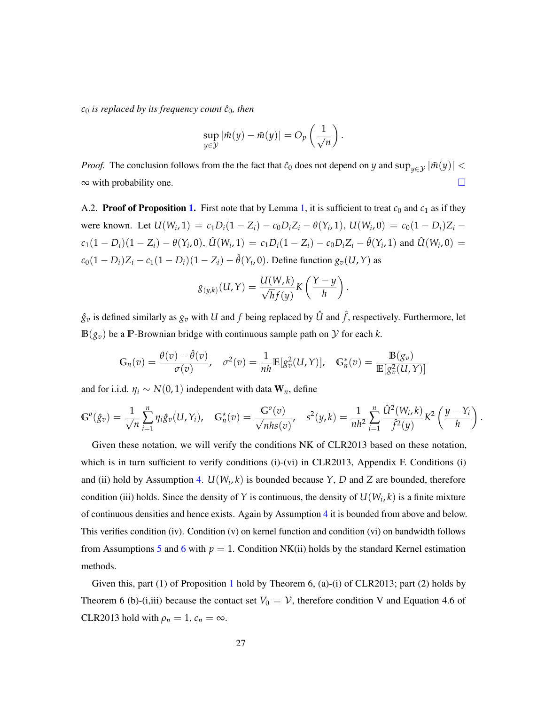$c_0$  *is replaced by its frequency count*  $\hat{c}_0$ *, then* 

$$
\sup_{y \in \mathcal{Y}} |\hat{m}(y) - \tilde{m}(y)| = O_p\left(\frac{1}{\sqrt{n}}\right).
$$

*Proof.* The conclusion follows from the the fact that  $\hat{c}_0$  does not depend on *y* and  $\sup_{y \in \mathcal{Y}} |\tilde{m}(y)|$  <  $\infty$  with probability one.

<span id="page-26-0"></span>A.2. **Proof of Proposition [1.](#page-8-4)** First note that by Lemma [1,](#page-25-0) it is sufficient to treat  $c_0$  and  $c_1$  as if they were known. Let  $U(W_i, 1) = c_1 D_i (1 - Z_i) - c_0 D_i Z_i - \theta(Y_i, 1), U(W_i, 0) = c_0 (1 - D_i) Z_i$  $c_1(1-D_i)(1-Z_i) - \theta(Y_i,0), \hat{U}(W_i,1) = c_1D_i(1-Z_i) - c_0D_iZ_i - \hat{\theta}(Y_i,1)$  and  $\hat{U}(W_i,0) =$  $c_0(1 - D_i)Z_i - c_1(1 - D_i)(1 - Z_i) - \hat{\theta}(Y_i, 0)$ . Define function  $g_v(U, Y)$  as

$$
g_{(y,k)}(U,Y)=\frac{U(W,k)}{\sqrt{h}f(y)}K\left(\frac{Y-y}{h}\right).
$$

 $\hat{g}_v$  is defined similarly as  $g_v$  with *U* and *f* being replaced by  $\hat{U}$  and  $\hat{f}$ , respectively. Furthermore, let  $B(g_v)$  be a P-Brownian bridge with continuous sample path on  $\mathcal Y$  for each  $k$ .

$$
\mathbb{G}_n(v) = \frac{\theta(v) - \hat{\theta}(v)}{\sigma(v)}, \quad \sigma^2(v) = \frac{1}{nh} \mathbb{E}[g_v^2(u, Y)], \quad \mathbb{G}_n^*(v) = \frac{\mathbb{B}(g_v)}{\mathbb{E}[g_v^2(u, Y)]}
$$

and for i.i.d.  $\eta_i \sim N(0, 1)$  independent with data  $W_n$ , define

$$
\mathbb{G}^o(\hat{g}_v) = \frac{1}{\sqrt{n}} \sum_{i=1}^n \eta_i \hat{g}_v(U, Y_i), \quad \mathbb{G}_n^{\star}(v) = \frac{\mathbb{G}^o(v)}{\sqrt{n h s(v)}}, \quad s^2(y, k) = \frac{1}{n h^2} \sum_{i=1}^n \frac{\hat{U}^2(W_i, k)}{\hat{f}^2(y)} K^2\left(\frac{y - Y_i}{h}\right).
$$

Given these notation, we will verify the conditions NK of CLR2013 based on these notation, which is in turn sufficient to verify conditions (i)-(vi) in CLR2013, Appendix F. Conditions (i) and (ii) hold by Assumption [4.](#page-8-1)  $U(W_i, k)$  is bounded because  $Y$ ,  $D$  and  $Z$  are bounded, therefore condition (iii) holds. Since the density of *Y* is continuous, the density of  $U(W_i, k)$  is a finite mixture of continuous densities and hence exists. Again by Assumption [4](#page-8-1) it is bounded from above and below. This verifies condition (iv). Condition (v) on kernel function and condition (vi) on bandwidth follows from Assumptions [5](#page-8-2) and [6](#page-8-3) with  $p = 1$ . Condition NK(ii) holds by the standard Kernel estimation methods.

Given this, part ([1](#page-8-4)) of Proposition 1 hold by Theorem 6, (a)-(i) of CLR2013; part (2) holds by Theorem 6 (b)-(i,iii) because the contact set  $V_0 = V$ , therefore condition V and Equation 4.6 of CLR2013 hold with  $\rho_n = 1$ ,  $c_n = \infty$ .